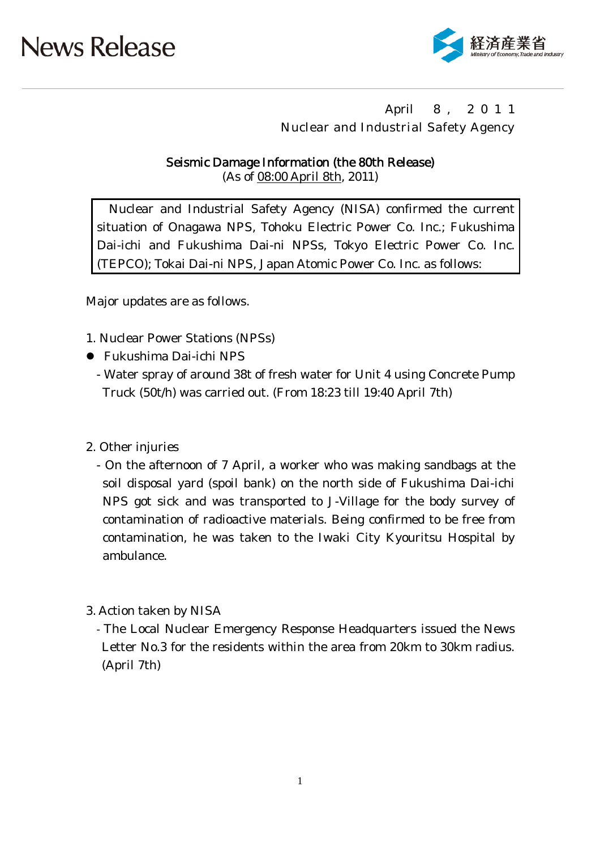

## April 8 , 2 0 1 1 Nuclear and Industrial Safety Agency

### Seismic Damage Information (the 80th Release)

(As of 08:00 April 8th, 2011)

Nuclear and Industrial Safety Agency (NISA) confirmed the current situation of Onagawa NPS, Tohoku Electric Power Co. Inc.; Fukushima Dai-ichi and Fukushima Dai-ni NPSs, Tokyo Electric Power Co. Inc. (TEPCO); Tokai Dai-ni NPS, Japan Atomic Power Co. Inc. as follows:

Major updates are as follows.

- 1. Nuclear Power Stations (NPSs)
- Fukushima Dai-ichi NPS
	- Water spray of around 38t of fresh water for Unit 4 using Concrete Pump Truck (50t/h) was carried out. (From 18:23 till 19:40 April 7th)

### 2. Other injuries

- On the afternoon of 7 April, a worker who was making sandbags at the soil disposal yard (spoil bank) on the north side of Fukushima Dai-ichi NPS got sick and was transported to J-Village for the body survey of contamination of radioactive materials. Being confirmed to be free from contamination, he was taken to the Iwaki City Kyouritsu Hospital by ambulance.
- 3. Action taken by NISA
	- The Local Nuclear Emergency Response Headquarters issued the News Letter No.3 for the residents within the area from 20km to 30km radius. (April 7th)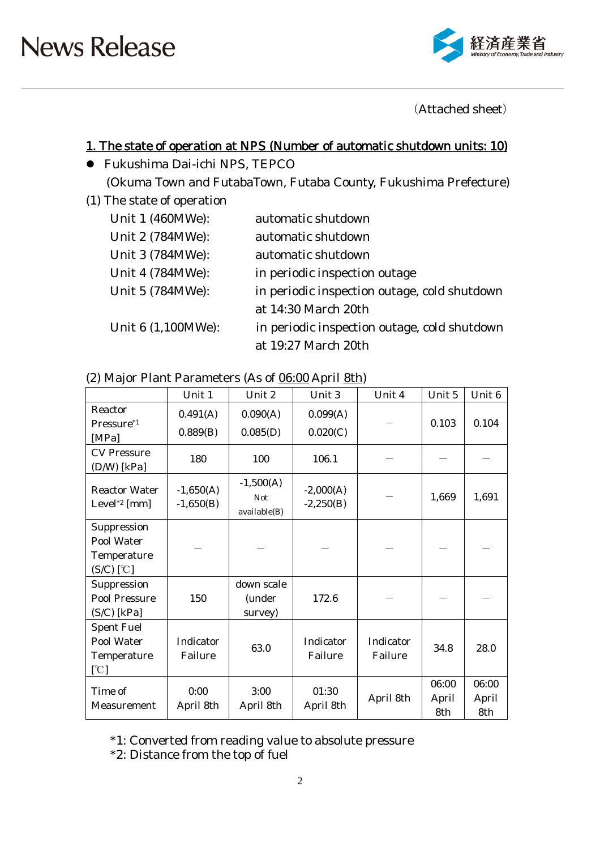

(Attached sheet)

## 1. The state of operation at NPS (Number of automatic shutdown units: 10)

- Fukushima Dai-ichi NPS, TEPCO (Okuma Town and FutabaTown, Futaba County, Fukushima Prefecture)
- (1) The state of operation

| Unit 1 (460MWe):   | automatic shutdown                           |
|--------------------|----------------------------------------------|
| Unit 2 (784MWe):   | automatic shutdown                           |
| Unit 3 (784MWe):   | automatic shutdown                           |
| Unit 4 (784MWe):   | in periodic inspection outage                |
| Unit 5 (784MWe):   | in periodic inspection outage, cold shutdown |
|                    | at 14:30 March 20th                          |
| Unit 6 (1,100MWe): | in periodic inspection outage, cold shutdown |
|                    | at 19:27 March 20th                          |

#### (2) Major Plant Parameters (As of 06:00 April 8th)

|                                                          | Unit 1                     | Unit 2                                    | Unit 3                     | Unit 4               | Unit 5                | Unit <sub>6</sub>     |
|----------------------------------------------------------|----------------------------|-------------------------------------------|----------------------------|----------------------|-----------------------|-----------------------|
| Reactor<br>Pressure <sup>*1</sup><br>[MPa]               | 0.491(A)<br>0.889(B)       | 0.090(A)<br>0.085(D)                      | 0.099(A)<br>0.020(C)       |                      | 0.103                 | 0.104                 |
| <b>CV Pressure</b><br>$(D/W)$ [kPa]                      | 180                        | 100                                       | 106.1                      |                      |                       |                       |
| <b>Reactor Water</b><br>Level <sup>*2</sup> [mm]         | $-1,650(A)$<br>$-1,650(B)$ | $-1,500(A)$<br><b>Not</b><br>available(B) | $-2,000(A)$<br>$-2,250(B)$ |                      | 1,669                 | 1,691                 |
| Suppression<br>Pool Water<br>Temperature<br>$(S/C)$ [°C] |                            |                                           |                            |                      |                       |                       |
| Suppression<br><b>Pool Pressure</b><br>$(S/C)$ [kPa]     | 150                        | down scale<br>(under<br>survey)           | 172.6                      |                      |                       |                       |
| <b>Spent Fuel</b><br>Pool Water<br>Temperature<br>[°C]   | Indicator<br>Failure       | 63.0                                      | Indicator<br>Failure       | Indicator<br>Failure | 34.8                  | 28.0                  |
| Time of<br>Measurement                                   | 0:00<br>April 8th          | 3:00<br>April 8th                         | 01:30<br>April 8th         | April 8th            | 06:00<br>April<br>8th | 06:00<br>April<br>8th |

\*1: Converted from reading value to absolute pressure

\*2: Distance from the top of fuel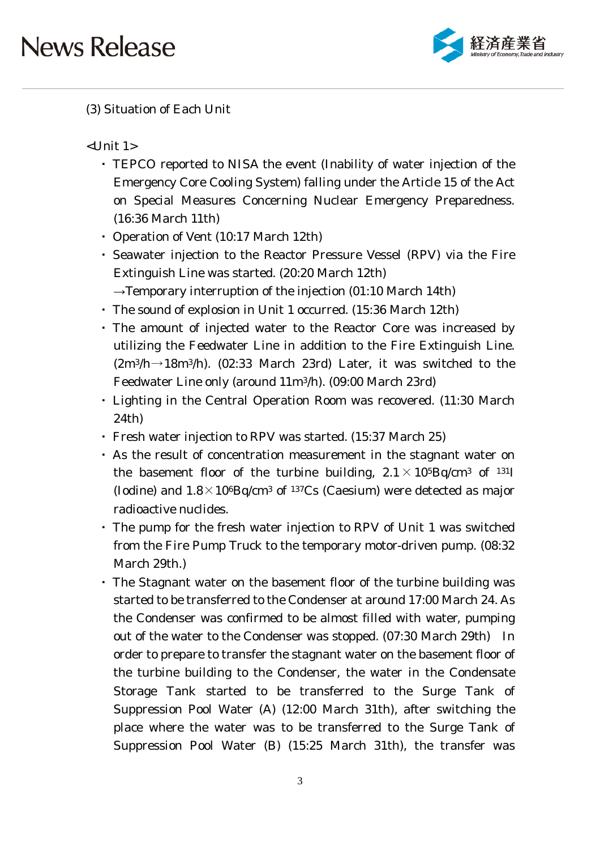

### (3) Situation of Each Unit

 $<$ Unit 1 $>$ 

- ・ TEPCO reported to NISA the event (Inability of water injection of the Emergency Core Cooling System) falling under the Article 15 of the Act on Special Measures Concerning Nuclear Emergency Preparedness. (16:36 March 11th)
- ・ Operation of Vent (10:17 March 12th)
- ・ Seawater injection to the Reactor Pressure Vessel (RPV) via the Fire Extinguish Line was started. (20:20 March 12th)  $\rightarrow$ Temporary interruption of the injection (01:10 March 14th)
- ・ The sound of explosion in Unit 1 occurred. (15:36 March 12th)
- ・ The amount of injected water to the Reactor Core was increased by utilizing the Feedwater Line in addition to the Fire Extinguish Line.  $(2m^3/h \rightarrow 18m^3/h)$ . (02:33 March 23rd) Later, it was switched to the Feedwater Line only (around 11m3/h). (09:00 March 23rd)
- Lighting in the Central Operation Room was recovered. (11:30 March 24th)
- ・ Fresh water injection to RPV was started. (15:37 March 25)
- ・ As the result of concentration measurement in the stagnant water on the basement floor of the turbine building,  $2.1 \times 10^{5}$ Bq/cm<sup>3</sup> of <sup>131</sup>I (Iodine) and  $1.8 \times 10^{6}$ Bq/cm<sup>3</sup> of <sup>137</sup>Cs (Caesium) were detected as major radioactive nuclides.
- ・ The pump for the fresh water injection to RPV of Unit 1 was switched from the Fire Pump Truck to the temporary motor-driven pump. (08:32 March 29th.)
- ・ The Stagnant water on the basement floor of the turbine building was started to be transferred to the Condenser at around 17:00 March 24. As the Condenser was confirmed to be almost filled with water, pumping out of the water to the Condenser was stopped. (07:30 March 29th) In order to prepare to transfer the stagnant water on the basement floor of the turbine building to the Condenser, the water in the Condensate Storage Tank started to be transferred to the Surge Tank of Suppression Pool Water (A) (12:00 March 31th), after switching the place where the water was to be transferred to the Surge Tank of Suppression Pool Water (B) (15:25 March 31th), the transfer was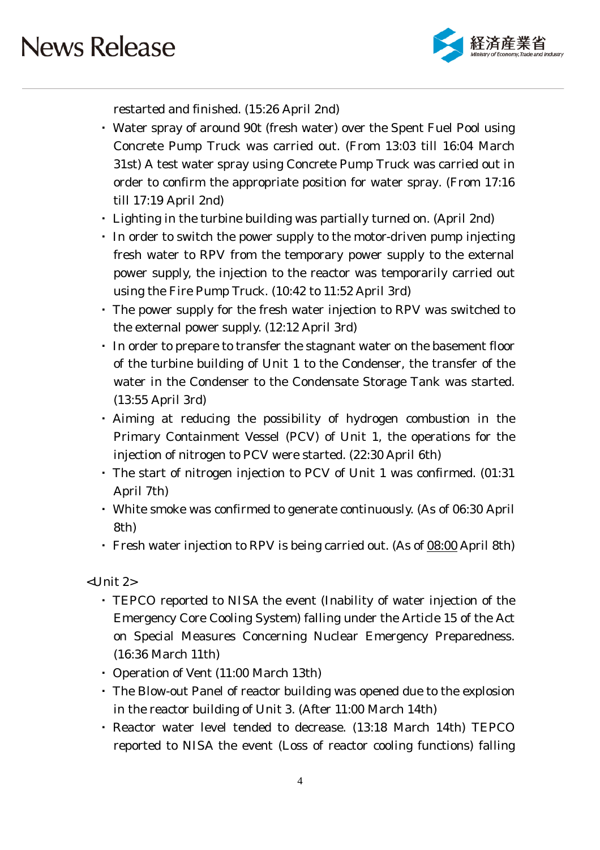

restarted and finished. (15:26 April 2nd)

- ・ Water spray of around 90t (fresh water) over the Spent Fuel Pool using Concrete Pump Truck was carried out. (From 13:03 till 16:04 March 31st) A test water spray using Concrete Pump Truck was carried out in order to confirm the appropriate position for water spray. (From 17:16 till 17:19 April 2nd)
- ・ Lighting in the turbine building was partially turned on. (April 2nd)
- ・ In order to switch the power supply to the motor-driven pump injecting fresh water to RPV from the temporary power supply to the external power supply, the injection to the reactor was temporarily carried out using the Fire Pump Truck. (10:42 to 11:52 April 3rd)
- ・ The power supply for the fresh water injection to RPV was switched to the external power supply. (12:12 April 3rd)
- ・ In order to prepare to transfer the stagnant water on the basement floor of the turbine building of Unit 1 to the Condenser, the transfer of the water in the Condenser to the Condensate Storage Tank was started. (13:55 April 3rd)
- ・ Aiming at reducing the possibility of hydrogen combustion in the Primary Containment Vessel (PCV) of Unit 1, the operations for the injection of nitrogen to PCV were started. (22:30 April 6th)
- ・ The start of nitrogen injection to PCV of Unit 1 was confirmed. (01:31 April 7th)
- ・ White smoke was confirmed to generate continuously. (As of 06:30 April 8th)
- ・ Fresh water injection to RPV is being carried out. (As of 08:00 April 8th)

<Unit 2>

- ・ TEPCO reported to NISA the event (Inability of water injection of the Emergency Core Cooling System) falling under the Article 15 of the Act on Special Measures Concerning Nuclear Emergency Preparedness. (16:36 March 11th)
- ・ Operation of Vent (11:00 March 13th)
- ・ The Blow-out Panel of reactor building was opened due to the explosion in the reactor building of Unit 3. (After 11:00 March 14th)
- ・ Reactor water level tended to decrease. (13:18 March 14th) TEPCO reported to NISA the event (Loss of reactor cooling functions) falling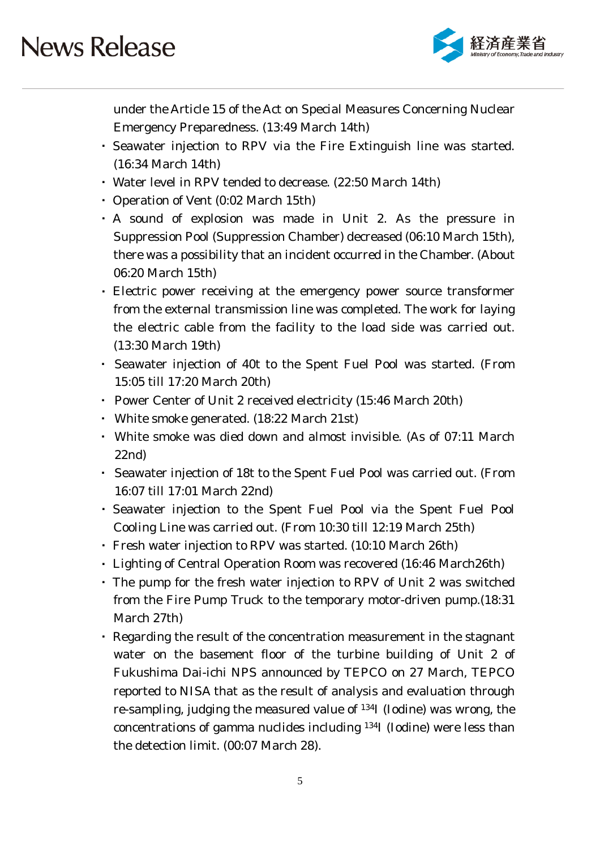

under the Article 15 of the Act on Special Measures Concerning Nuclear Emergency Preparedness. (13:49 March 14th)

- ・ Seawater injection to RPV via the Fire Extinguish line was started. (16:34 March 14th)
- ・ Water level in RPV tended to decrease. (22:50 March 14th)
- ・ Operation of Vent (0:02 March 15th)
- ・ A sound of explosion was made in Unit 2. As the pressure in Suppression Pool (Suppression Chamber) decreased (06:10 March 15th), there was a possibility that an incident occurred in the Chamber. (About 06:20 March 15th)
- ・ Electric power receiving at the emergency power source transformer from the external transmission line was completed. The work for laying the electric cable from the facility to the load side was carried out. (13:30 March 19th)
- ・ Seawater injection of 40t to the Spent Fuel Pool was started. (From 15:05 till 17:20 March 20th)
- ・ Power Center of Unit 2 received electricity (15:46 March 20th)
- ・ White smoke generated. (18:22 March 21st)
- ・ White smoke was died down and almost invisible. (As of 07:11 March 22nd)
- ・ Seawater injection of 18t to the Spent Fuel Pool was carried out. (From 16:07 till 17:01 March 22nd)
- ・ Seawater injection to the Spent Fuel Pool via the Spent Fuel Pool Cooling Line was carried out. (From 10:30 till 12:19 March 25th)
- ・ Fresh water injection to RPV was started. (10:10 March 26th)
- ・ Lighting of Central Operation Room was recovered (16:46 March26th)
- ・ The pump for the fresh water injection to RPV of Unit 2 was switched from the Fire Pump Truck to the temporary motor-driven pump.(18:31 March 27th)
- ・ Regarding the result of the concentration measurement in the stagnant water on the basement floor of the turbine building of Unit 2 of Fukushima Dai-ichi NPS announced by TEPCO on 27 March, TEPCO reported to NISA that as the result of analysis and evaluation through re-sampling, judging the measured value of 134I (Iodine) was wrong, the concentrations of gamma nuclides including 134I (Iodine) were less than the detection limit. (00:07 March 28).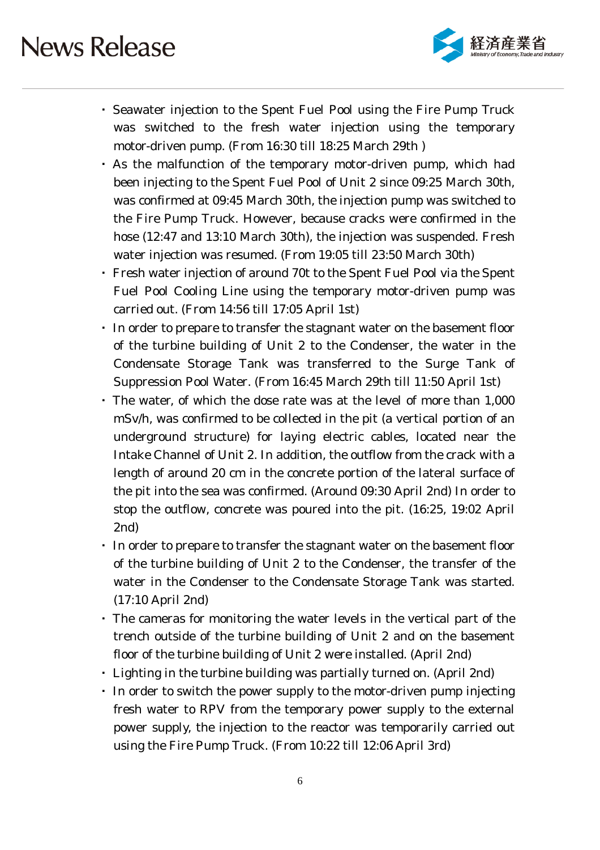

- ・ Seawater injection to the Spent Fuel Pool using the Fire Pump Truck was switched to the fresh water injection using the temporary motor-driven pump. (From 16:30 till 18:25 March 29th )
- ・ As the malfunction of the temporary motor-driven pump, which had been injecting to the Spent Fuel Pool of Unit 2 since 09:25 March 30th, was confirmed at 09:45 March 30th, the injection pump was switched to the Fire Pump Truck. However, because cracks were confirmed in the hose (12:47 and 13:10 March 30th), the injection was suspended. Fresh water injection was resumed. (From 19:05 till 23:50 March 30th)
- ・ Fresh water injection of around 70t to the Spent Fuel Pool via the Spent Fuel Pool Cooling Line using the temporary motor-driven pump was carried out. (From 14:56 till 17:05 April 1st)
- ・ In order to prepare to transfer the stagnant water on the basement floor of the turbine building of Unit 2 to the Condenser, the water in the Condensate Storage Tank was transferred to the Surge Tank of Suppression Pool Water. (From 16:45 March 29th till 11:50 April 1st)
- ・ The water, of which the dose rate was at the level of more than 1,000 mSv/h, was confirmed to be collected in the pit (a vertical portion of an underground structure) for laying electric cables, located near the Intake Channel of Unit 2. In addition, the outflow from the crack with a length of around 20 cm in the concrete portion of the lateral surface of the pit into the sea was confirmed. (Around 09:30 April 2nd) In order to stop the outflow, concrete was poured into the pit. (16:25, 19:02 April 2nd)
- ・ In order to prepare to transfer the stagnant water on the basement floor of the turbine building of Unit 2 to the Condenser, the transfer of the water in the Condenser to the Condensate Storage Tank was started. (17:10 April 2nd)
- ・ The cameras for monitoring the water levels in the vertical part of the trench outside of the turbine building of Unit 2 and on the basement floor of the turbine building of Unit 2 were installed. (April 2nd)
- ・ Lighting in the turbine building was partially turned on. (April 2nd)
- ・ In order to switch the power supply to the motor-driven pump injecting fresh water to RPV from the temporary power supply to the external power supply, the injection to the reactor was temporarily carried out using the Fire Pump Truck. (From 10:22 till 12:06 April 3rd)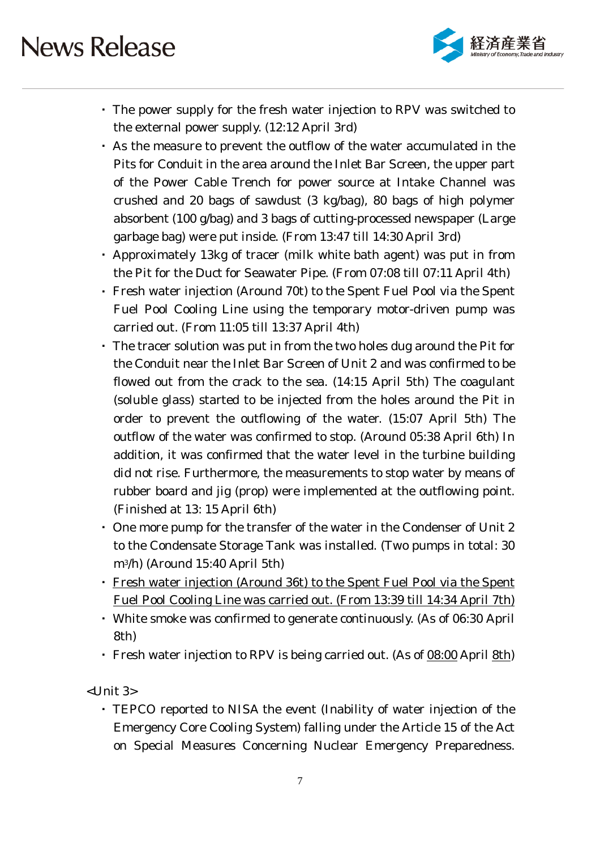

- ・ The power supply for the fresh water injection to RPV was switched to the external power supply. (12:12 April 3rd)
- ・ As the measure to prevent the outflow of the water accumulated in the Pits for Conduit in the area around the Inlet Bar Screen, the upper part of the Power Cable Trench for power source at Intake Channel was crushed and 20 bags of sawdust (3 kg/bag), 80 bags of high polymer absorbent (100 g/bag) and 3 bags of cutting-processed newspaper (Large garbage bag) were put inside. (From 13:47 till 14:30 April 3rd)
- ・ Approximately 13kg of tracer (milk white bath agent) was put in from the Pit for the Duct for Seawater Pipe. (From 07:08 till 07:11 April 4th)
- ・ Fresh water injection (Around 70t) to the Spent Fuel Pool via the Spent Fuel Pool Cooling Line using the temporary motor-driven pump was carried out. (From 11:05 till 13:37 April 4th)
- ・ The tracer solution was put in from the two holes dug around the Pit for the Conduit near the Inlet Bar Screen of Unit 2 and was confirmed to be flowed out from the crack to the sea. (14:15 April 5th) The coagulant (soluble glass) started to be injected from the holes around the Pit in order to prevent the outflowing of the water. (15:07 April 5th) The outflow of the water was confirmed to stop. (Around 05:38 April 6th) In addition, it was confirmed that the water level in the turbine building did not rise. Furthermore, the measurements to stop water by means of rubber board and jig (prop) were implemented at the outflowing point. (Finished at 13: 15 April 6th)
- ・ One more pump for the transfer of the water in the Condenser of Unit 2 to the Condensate Storage Tank was installed. (Two pumps in total: 30 m3/h) (Around 15:40 April 5th)
- ・ Fresh water injection (Around 36t) to the Spent Fuel Pool via the Spent Fuel Pool Cooling Line was carried out. (From 13:39 till 14:34 April 7th)
- ・ White smoke was confirmed to generate continuously. (As of 06:30 April 8th)
- Fresh water injection to RPV is being carried out. (As of 08:00 April 8th)

<Unit 3>

・ TEPCO reported to NISA the event (Inability of water injection of the Emergency Core Cooling System) falling under the Article 15 of the Act on Special Measures Concerning Nuclear Emergency Preparedness.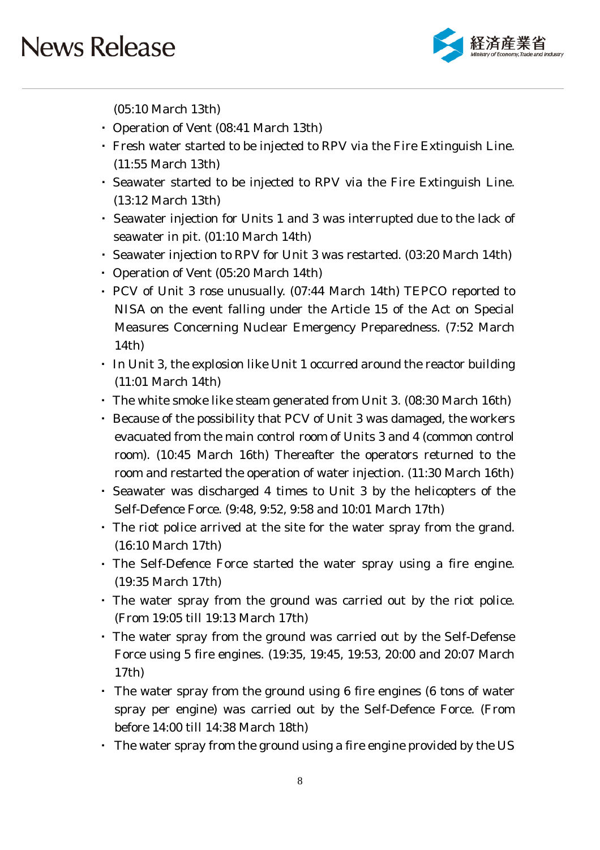

(05:10 March 13th)

- ・ Operation of Vent (08:41 March 13th)
- ・ Fresh water started to be injected to RPV via the Fire Extinguish Line. (11:55 March 13th)
- ・ Seawater started to be injected to RPV via the Fire Extinguish Line. (13:12 March 13th)
- ・ Seawater injection for Units 1 and 3 was interrupted due to the lack of seawater in pit. (01:10 March 14th)
- ・ Seawater injection to RPV for Unit 3 was restarted. (03:20 March 14th)
- ・ Operation of Vent (05:20 March 14th)
- ・ PCV of Unit 3 rose unusually. (07:44 March 14th) TEPCO reported to NISA on the event falling under the Article 15 of the Act on Special Measures Concerning Nuclear Emergency Preparedness. (7:52 March 14th)
- In Unit 3, the explosion like Unit 1 occurred around the reactor building (11:01 March 14th)
- ・ The white smoke like steam generated from Unit 3. (08:30 March 16th)
- ・ Because of the possibility that PCV of Unit 3 was damaged, the workers evacuated from the main control room of Units 3 and 4 (common control room). (10:45 March 16th) Thereafter the operators returned to the room and restarted the operation of water injection. (11:30 March 16th)
- ・ Seawater was discharged 4 times to Unit 3 by the helicopters of the Self-Defence Force. (9:48, 9:52, 9:58 and 10:01 March 17th)
- ・ The riot police arrived at the site for the water spray from the grand. (16:10 March 17th)
- ・ The Self-Defence Force started the water spray using a fire engine. (19:35 March 17th)
- ・ The water spray from the ground was carried out by the riot police. (From 19:05 till 19:13 March 17th)
- ・ The water spray from the ground was carried out by the Self-Defense Force using 5 fire engines. (19:35, 19:45, 19:53, 20:00 and 20:07 March 17th)
- ・ The water spray from the ground using 6 fire engines (6 tons of water spray per engine) was carried out by the Self-Defence Force. (From before 14:00 till 14:38 March 18th)
- ・ The water spray from the ground using a fire engine provided by the US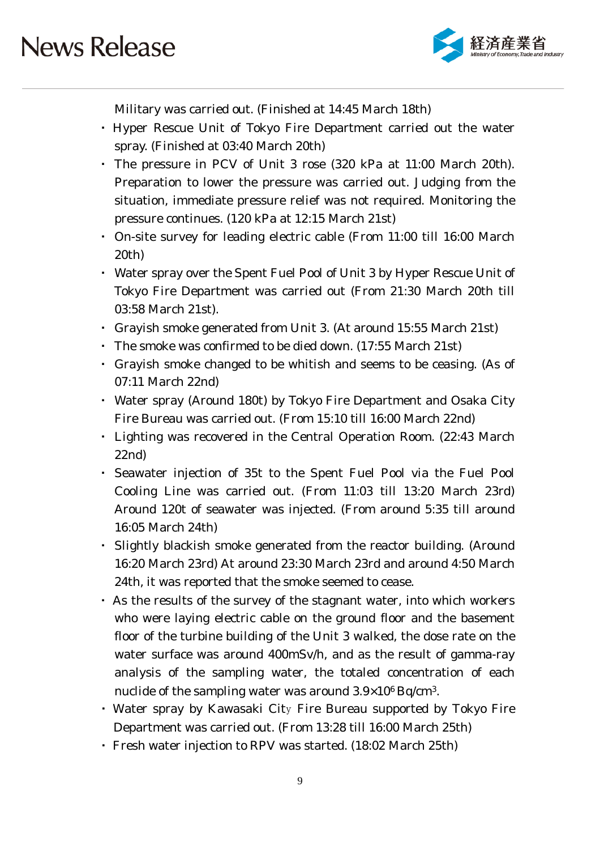

Military was carried out. (Finished at 14:45 March 18th)

- ・ Hyper Rescue Unit of Tokyo Fire Department carried out the water spray. (Finished at 03:40 March 20th)
- ・ The pressure in PCV of Unit 3 rose (320 kPa at 11:00 March 20th). Preparation to lower the pressure was carried out. Judging from the situation, immediate pressure relief was not required. Monitoring the pressure continues. (120 kPa at 12:15 March 21st)
- ・ On-site survey for leading electric cable (From 11:00 till 16:00 March 20th)
- ・ Water spray over the Spent Fuel Pool of Unit 3 by Hyper Rescue Unit of Tokyo Fire Department was carried out (From 21:30 March 20th till 03:58 March 21st).
- ・ Grayish smoke generated from Unit 3. (At around 15:55 March 21st)
- ・ The smoke was confirmed to be died down. (17:55 March 21st)
- ・ Grayish smoke changed to be whitish and seems to be ceasing. (As of 07:11 March 22nd)
- ・ Water spray (Around 180t) by Tokyo Fire Department and Osaka City Fire Bureau was carried out. (From 15:10 till 16:00 March 22nd)
- ・ Lighting was recovered in the Central Operation Room. (22:43 March 22nd)
- ・ Seawater injection of 35t to the Spent Fuel Pool via the Fuel Pool Cooling Line was carried out. (From 11:03 till 13:20 March 23rd) Around 120t of seawater was injected. (From around 5:35 till around 16:05 March 24th)
- ・ Slightly blackish smoke generated from the reactor building. (Around 16:20 March 23rd) At around 23:30 March 23rd and around 4:50 March 24th, it was reported that the smoke seemed to cease.
- ・ As the results of the survey of the stagnant water, into which workers who were laying electric cable on the ground floor and the basement floor of the turbine building of the Unit 3 walked, the dose rate on the water surface was around 400mSv/h, and as the result of gamma-ray analysis of the sampling water, the totaled concentration of each nuclide of the sampling water was around  $3.9 \times 10^6$  Bq/cm<sup>3</sup>.
- ・ Water spray by Kawasaki City Fire Bureau supported by Tokyo Fire Department was carried out. (From 13:28 till 16:00 March 25th)
- ・ Fresh water injection to RPV was started. (18:02 March 25th)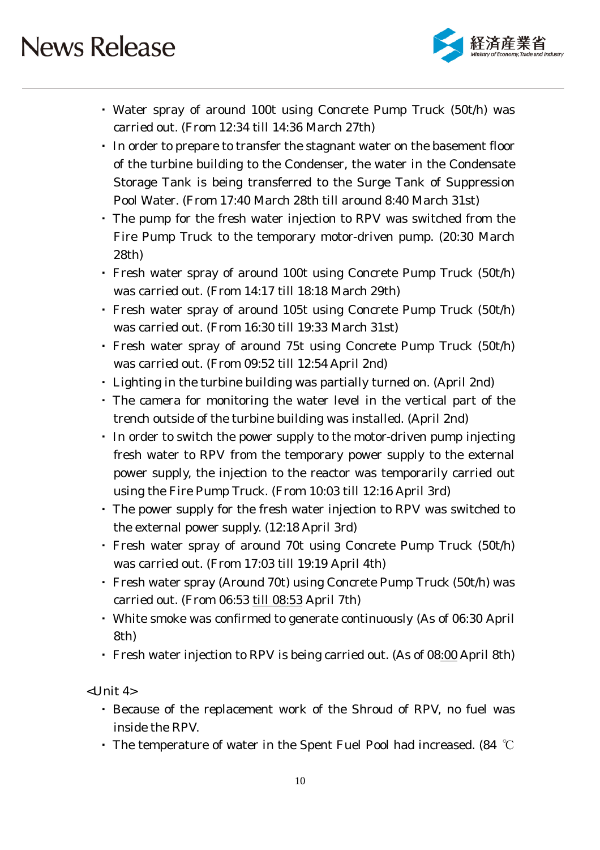

- ・ Water spray of around 100t using Concrete Pump Truck (50t/h) was carried out. (From 12:34 till 14:36 March 27th)
- ・ In order to prepare to transfer the stagnant water on the basement floor of the turbine building to the Condenser, the water in the Condensate Storage Tank is being transferred to the Surge Tank of Suppression Pool Water. (From 17:40 March 28th till around 8:40 March 31st)
- ・ The pump for the fresh water injection to RPV was switched from the Fire Pump Truck to the temporary motor-driven pump. (20:30 March 28th)
- ・ Fresh water spray of around 100t using Concrete Pump Truck (50t/h) was carried out. (From 14:17 till 18:18 March 29th)
- ・ Fresh water spray of around 105t using Concrete Pump Truck (50t/h) was carried out. (From 16:30 till 19:33 March 31st)
- ・ Fresh water spray of around 75t using Concrete Pump Truck (50t/h) was carried out. (From 09:52 till 12:54 April 2nd)
- ・ Lighting in the turbine building was partially turned on. (April 2nd)
- ・ The camera for monitoring the water level in the vertical part of the trench outside of the turbine building was installed. (April 2nd)
- ・ In order to switch the power supply to the motor-driven pump injecting fresh water to RPV from the temporary power supply to the external power supply, the injection to the reactor was temporarily carried out using the Fire Pump Truck. (From 10:03 till 12:16 April 3rd)
- ・ The power supply for the fresh water injection to RPV was switched to the external power supply. (12:18 April 3rd)
- ・ Fresh water spray of around 70t using Concrete Pump Truck (50t/h) was carried out. (From 17:03 till 19:19 April 4th)
- ・ Fresh water spray (Around 70t) using Concrete Pump Truck (50t/h) was carried out. (From 06:53 till 08:53 April 7th)
- ・ White smoke was confirmed to generate continuously (As of 06:30 April 8th)
- Fresh water injection to RPV is being carried out. (As of 08:00 April 8th)

 $<$ Unit 4 $>$ 

- ・ Because of the replacement work of the Shroud of RPV, no fuel was inside the RPV.
- The temperature of water in the Spent Fuel Pool had increased. (84  $°C$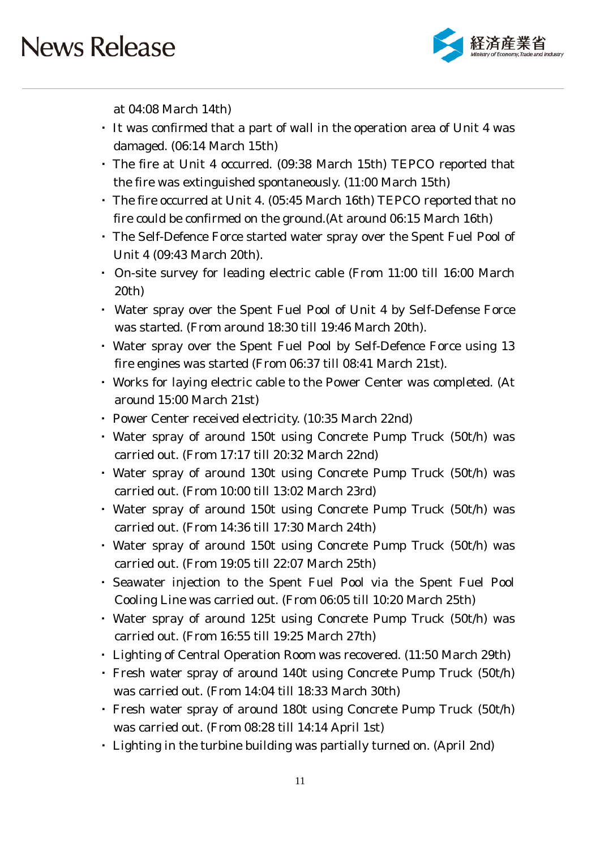

at 04:08 March 14th)

- ・ It was confirmed that a part of wall in the operation area of Unit 4 was damaged. (06:14 March 15th)
- ・ The fire at Unit 4 occurred. (09:38 March 15th) TEPCO reported that the fire was extinguished spontaneously. (11:00 March 15th)
- ・ The fire occurred at Unit 4. (05:45 March 16th) TEPCO reported that no fire could be confirmed on the ground.(At around 06:15 March 16th)
- ・ The Self-Defence Force started water spray over the Spent Fuel Pool of Unit 4 (09:43 March 20th).
- ・ On-site survey for leading electric cable (From 11:00 till 16:00 March 20th)
- ・ Water spray over the Spent Fuel Pool of Unit 4 by Self-Defense Force was started. (From around 18:30 till 19:46 March 20th).
- ・ Water spray over the Spent Fuel Pool by Self-Defence Force using 13 fire engines was started (From 06:37 till 08:41 March 21st).
- ・ Works for laying electric cable to the Power Center was completed. (At around 15:00 March 21st)
- ・ Power Center received electricity. (10:35 March 22nd)
- ・ Water spray of around 150t using Concrete Pump Truck (50t/h) was carried out. (From 17:17 till 20:32 March 22nd)
- ・ Water spray of around 130t using Concrete Pump Truck (50t/h) was carried out. (From 10:00 till 13:02 March 23rd)
- ・ Water spray of around 150t using Concrete Pump Truck (50t/h) was carried out. (From 14:36 till 17:30 March 24th)
- ・ Water spray of around 150t using Concrete Pump Truck (50t/h) was carried out. (From 19:05 till 22:07 March 25th)
- ・ Seawater injection to the Spent Fuel Pool via the Spent Fuel Pool Cooling Line was carried out. (From 06:05 till 10:20 March 25th)
- ・ Water spray of around 125t using Concrete Pump Truck (50t/h) was carried out. (From 16:55 till 19:25 March 27th)
- ・ Lighting of Central Operation Room was recovered. (11:50 March 29th)
- ・ Fresh water spray of around 140t using Concrete Pump Truck (50t/h) was carried out. (From 14:04 till 18:33 March 30th)
- ・ Fresh water spray of around 180t using Concrete Pump Truck (50t/h) was carried out. (From 08:28 till 14:14 April 1st)
- ・ Lighting in the turbine building was partially turned on. (April 2nd)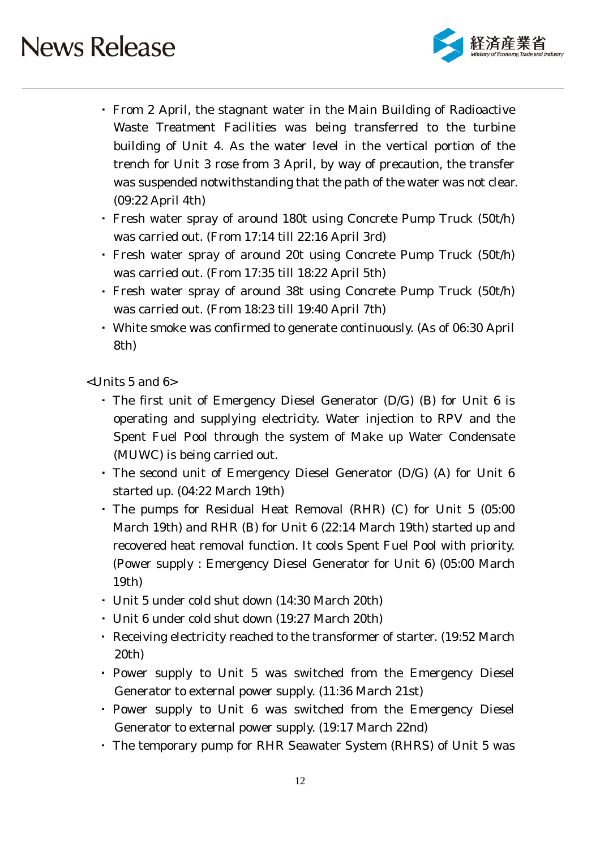

- ・ From 2 April, the stagnant water in the Main Building of Radioactive Waste Treatment Facilities was being transferred to the turbine building of Unit 4. As the water level in the vertical portion of the trench for Unit 3 rose from 3 April, by way of precaution, the transfer was suspended notwithstanding that the path of the water was not clear. (09:22 April 4th)
- ・ Fresh water spray of around 180t using Concrete Pump Truck (50t/h) was carried out. (From 17:14 till 22:16 April 3rd)
- ・ Fresh water spray of around 20t using Concrete Pump Truck (50t/h) was carried out. (From 17:35 till 18:22 April 5th)
- ・ Fresh water spray of around 38t using Concrete Pump Truck (50t/h) was carried out. (From 18:23 till 19:40 April 7th)
- ・ White smoke was confirmed to generate continuously. (As of 06:30 April 8th)

<Units 5 and 6>

- ・ The first unit of Emergency Diesel Generator (D/G) (B) for Unit 6 is operating and supplying electricity. Water injection to RPV and the Spent Fuel Pool through the system of Make up Water Condensate (MUWC) is being carried out.
- ・ The second unit of Emergency Diesel Generator (D/G) (A) for Unit 6 started up. (04:22 March 19th)
- ・ The pumps for Residual Heat Removal (RHR) (C) for Unit 5 (05:00 March 19th) and RHR (B) for Unit 6 (22:14 March 19th) started up and recovered heat removal function. It cools Spent Fuel Pool with priority. (Power supply : Emergency Diesel Generator for Unit 6) (05:00 March 19th)
- ・ Unit 5 under cold shut down (14:30 March 20th)
- ・ Unit 6 under cold shut down (19:27 March 20th)
- ・ Receiving electricity reached to the transformer of starter. (19:52 March 20th)
- ・ Power supply to Unit 5 was switched from the Emergency Diesel Generator to external power supply. (11:36 March 21st)
- ・ Power supply to Unit 6 was switched from the Emergency Diesel Generator to external power supply. (19:17 March 22nd)
- ・ The temporary pump for RHR Seawater System (RHRS) of Unit 5 was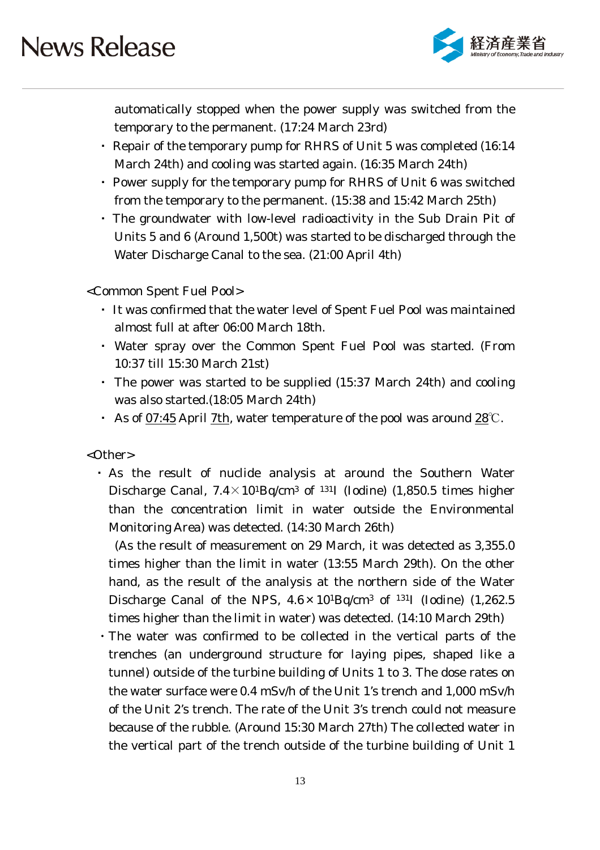

automatically stopped when the power supply was switched from the temporary to the permanent. (17:24 March 23rd)

- ・ Repair of the temporary pump for RHRS of Unit 5 was completed (16:14 March 24th) and cooling was started again. (16:35 March 24th)
- ・ Power supply for the temporary pump for RHRS of Unit 6 was switched from the temporary to the permanent. (15:38 and 15:42 March 25th)
- ・ The groundwater with low-level radioactivity in the Sub Drain Pit of Units 5 and 6 (Around 1,500t) was started to be discharged through the Water Discharge Canal to the sea. (21:00 April 4th)

<Common Spent Fuel Pool>

- ・ It was confirmed that the water level of Spent Fuel Pool was maintained almost full at after 06:00 March 18th.
- ・ Water spray over the Common Spent Fuel Pool was started. (From 10:37 till 15:30 March 21st)
- ・ The power was started to be supplied (15:37 March 24th) and cooling was also started.(18:05 March 24th)
- ・ As of 07:45 April 7th, water temperature of the pool was around 28℃.

<Other>

・ As the result of nuclide analysis at around the Southern Water Discharge Canal,  $7.4 \times 10^{1}$ Bq/cm<sup>3</sup> of <sup>131</sup>I (Iodine) (1,850.5 times higher than the concentration limit in water outside the Environmental Monitoring Area) was detected. (14:30 March 26th)

(As the result of measurement on 29 March, it was detected as 3,355.0 times higher than the limit in water (13:55 March 29th). On the other hand, as the result of the analysis at the northern side of the Water Discharge Canal of the NPS,  $4.6 \times 10^{1}$ Bq/cm<sup>3</sup> of <sup>131</sup>I (Iodine) (1,262.5) times higher than the limit in water) was detected. (14:10 March 29th)

・The water was confirmed to be collected in the vertical parts of the trenches (an underground structure for laying pipes, shaped like a tunnel) outside of the turbine building of Units 1 to 3. The dose rates on the water surface were 0.4 mSv/h of the Unit 1's trench and 1,000 mSv/h of the Unit 2's trench. The rate of the Unit 3's trench could not measure because of the rubble. (Around 15:30 March 27th) The collected water in the vertical part of the trench outside of the turbine building of Unit 1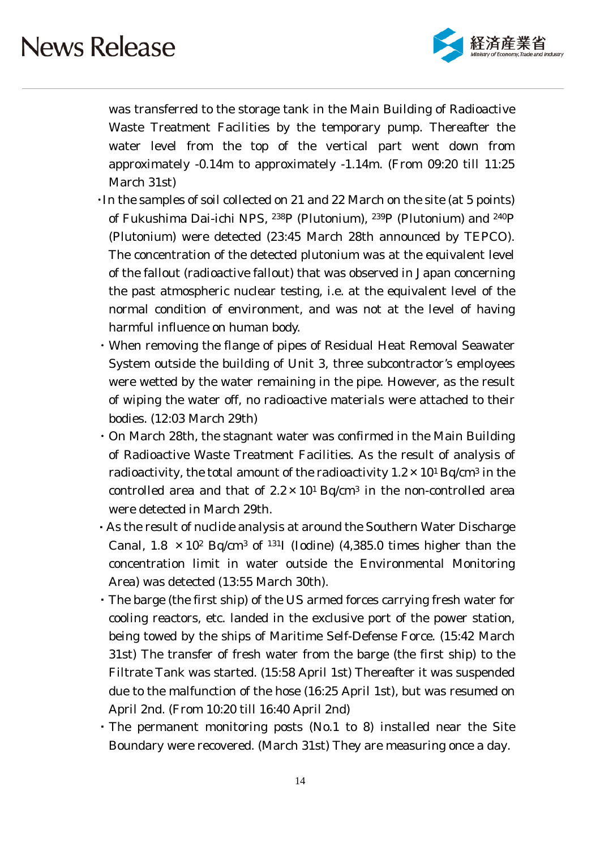

was transferred to the storage tank in the Main Building of Radioactive Waste Treatment Facilities by the temporary pump. Thereafter the water level from the top of the vertical part went down from approximately -0.14m to approximately -1.14m. (From 09:20 till 11:25 March 31st)

- ・In the samples of soil collected on 21 and 22 March on the site (at 5 points) of Fukushima Dai-ichi NPS, 238P (Plutonium), 239P (Plutonium) and 240P (Plutonium) were detected (23:45 March 28th announced by TEPCO). The concentration of the detected plutonium was at the equivalent level of the fallout (radioactive fallout) that was observed in Japan concerning the past atmospheric nuclear testing, i.e. at the equivalent level of the normal condition of environment, and was not at the level of having harmful influence on human body.
- ・When removing the flange of pipes of Residual Heat Removal Seawater System outside the building of Unit 3, three subcontractor's employees were wetted by the water remaining in the pipe. However, as the result of wiping the water off, no radioactive materials were attached to their bodies. (12:03 March 29th)
- ・On March 28th, the stagnant water was confirmed in the Main Building of Radioactive Waste Treatment Facilities. As the result of analysis of radioactivity, the total amount of the radioactivity  $1.2 \times 10^{1}$  Bq/cm<sup>3</sup> in the controlled area and that of  $2.2 \times 10^{1}$  Bq/cm<sup>3</sup> in the non-controlled area were detected in March 29th.
- ・As the result of nuclide analysis at around the Southern Water Discharge Canal,  $1.8 \times 10^2$  Bq/cm<sup>3</sup> of <sup>131</sup>I (Iodine) (4,385.0 times higher than the concentration limit in water outside the Environmental Monitoring Area) was detected (13:55 March 30th).
- ・The barge (the first ship) of the US armed forces carrying fresh water for cooling reactors, etc. landed in the exclusive port of the power station, being towed by the ships of Maritime Self-Defense Force. (15:42 March 31st) The transfer of fresh water from the barge (the first ship) to the Filtrate Tank was started. (15:58 April 1st) Thereafter it was suspended due to the malfunction of the hose (16:25 April 1st), but was resumed on April 2nd. (From 10:20 till 16:40 April 2nd)
- ・The permanent monitoring posts (No.1 to 8) installed near the Site Boundary were recovered. (March 31st) They are measuring once a day.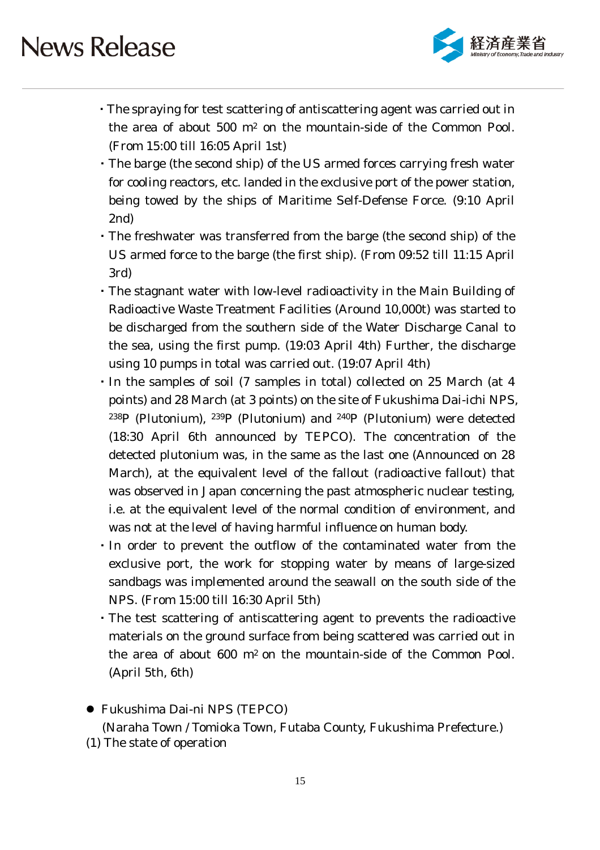

- ・The spraying for test scattering of antiscattering agent was carried out in the area of about 500 m2 on the mountain-side of the Common Pool. (From 15:00 till 16:05 April 1st)
- ・The barge (the second ship) of the US armed forces carrying fresh water for cooling reactors, etc. landed in the exclusive port of the power station, being towed by the ships of Maritime Self-Defense Force. (9:10 April 2nd)
- ・The freshwater was transferred from the barge (the second ship) of the US armed force to the barge (the first ship). (From 09:52 till 11:15 April 3rd)
- ・The stagnant water with low-level radioactivity in the Main Building of Radioactive Waste Treatment Facilities (Around 10,000t) was started to be discharged from the southern side of the Water Discharge Canal to the sea, using the first pump. (19:03 April 4th) Further, the discharge using 10 pumps in total was carried out. (19:07 April 4th)
- ・In the samples of soil (7 samples in total) collected on 25 March (at 4 points) and 28 March (at 3 points) on the site of Fukushima Dai-ichi NPS, 238P (Plutonium), 239P (Plutonium) and 240P (Plutonium) were detected (18:30 April 6th announced by TEPCO). The concentration of the detected plutonium was, in the same as the last one (Announced on 28 March), at the equivalent level of the fallout (radioactive fallout) that was observed in Japan concerning the past atmospheric nuclear testing, i.e. at the equivalent level of the normal condition of environment, and was not at the level of having harmful influence on human body.
- ・In order to prevent the outflow of the contaminated water from the exclusive port, the work for stopping water by means of large-sized sandbags was implemented around the seawall on the south side of the NPS. (From 15:00 till 16:30 April 5th)
- ・The test scattering of antiscattering agent to prevents the radioactive materials on the ground surface from being scattered was carried out in the area of about 600 m2 on the mountain-side of the Common Pool. (April 5th, 6th)
- Fukushima Dai-ni NPS (TEPCO)

(Naraha Town / Tomioka Town, Futaba County, Fukushima Prefecture.)

(1) The state of operation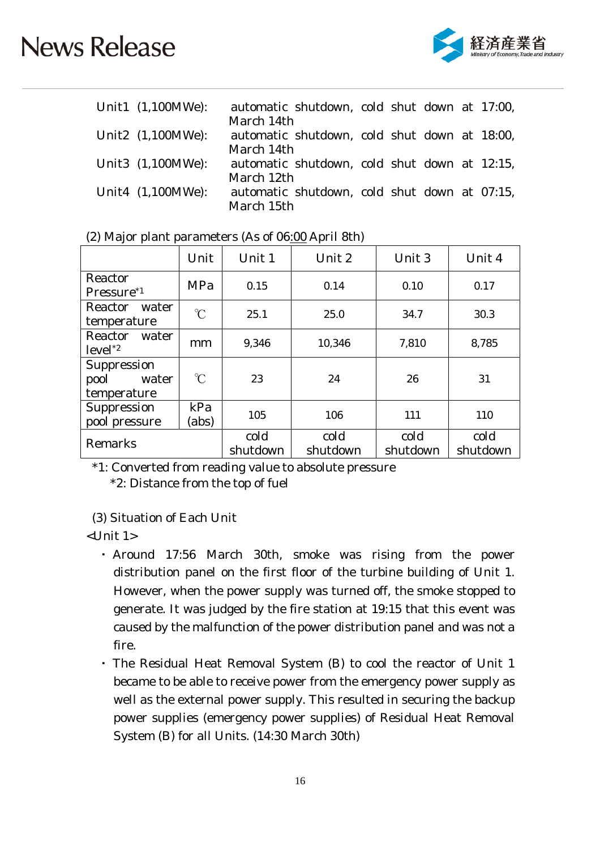

| Unit1 (1,100MWe):    | automatic shutdown, cold shut down at 17:00, |  |  |  |
|----------------------|----------------------------------------------|--|--|--|
|                      | March 14th                                   |  |  |  |
| Unit2 (1,100MWe):    | automatic shutdown, cold shut down at 18:00, |  |  |  |
|                      | March 14th                                   |  |  |  |
| Unit3 (1,100MWe):    | automatic shutdown, cold shut down at 12:15, |  |  |  |
|                      | March 12th                                   |  |  |  |
| Unit4 $(1,100MWe)$ : | automatic shutdown, cold shut down at 07:15, |  |  |  |
|                      | March 15th                                   |  |  |  |

|                                             | Unit                 | Unit 1           | Unit 2           | Unit 3           | Unit 4           |
|---------------------------------------------|----------------------|------------------|------------------|------------------|------------------|
| Reactor<br>Pressure <sup>*1</sup>           | MPa                  | 0.15             | 0.14             | 0.10             | 0.17             |
| Reactor<br>water<br>temperature             | $\gamma$             | 25.1             | 25.0             | 34.7             | 30.3             |
| Reactor<br>water<br>$level^*2$              | mm                   | 9,346            | 10,346           | 7,810            | 8,785            |
| Suppression<br>pool<br>water<br>temperature | $\mathrm{C}^{\circ}$ | 23               | 24               | 26               | 31               |
| Suppression<br>pool pressure                | kPa<br>(abs)         | 105              | 106              | 111              | 110              |
| Remarks                                     |                      | cold<br>shutdown | cold<br>shutdown | cold<br>shutdown | cold<br>shutdown |

| (2) Major plant parameters (As of 06:00 April 8th) |  |
|----------------------------------------------------|--|
|----------------------------------------------------|--|

\*1: Converted from reading value to absolute pressure \*2: Distance from the top of fuel

(3) Situation of Each Unit

<Unit 1>

- ・ Around 17:56 March 30th, smoke was rising from the power distribution panel on the first floor of the turbine building of Unit 1. However, when the power supply was turned off, the smoke stopped to generate. It was judged by the fire station at 19:15 that this event was caused by the malfunction of the power distribution panel and was not a fire.
- ・ The Residual Heat Removal System (B) to cool the reactor of Unit 1 became to be able to receive power from the emergency power supply as well as the external power supply. This resulted in securing the backup power supplies (emergency power supplies) of Residual Heat Removal System (B) for all Units. (14:30 March 30th)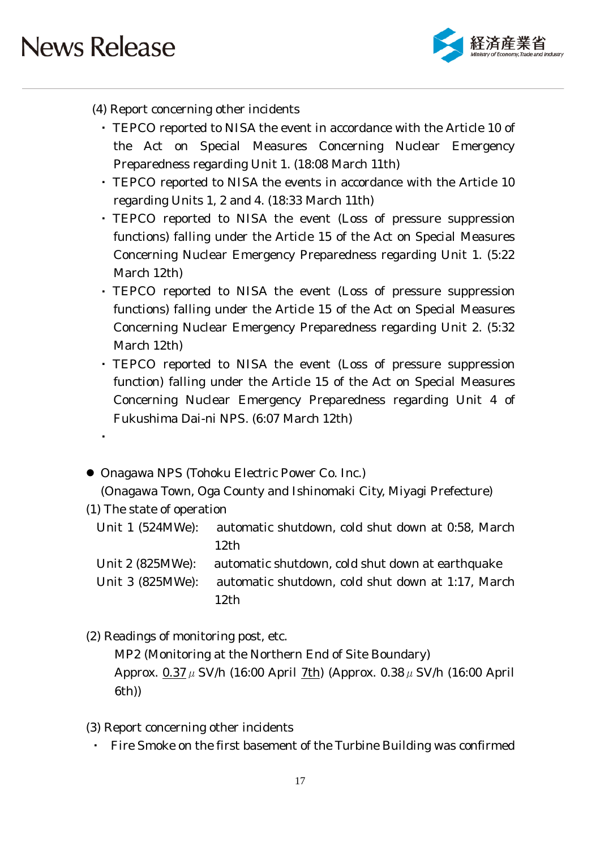

- (4) Report concerning other incidents
	- ・ TEPCO reported to NISA the event in accordance with the Article 10 of the Act on Special Measures Concerning Nuclear Emergency Preparedness regarding Unit 1. (18:08 March 11th)
	- ・ TEPCO reported to NISA the events in accordance with the Article 10 regarding Units 1, 2 and 4. (18:33 March 11th)
	- ・ TEPCO reported to NISA the event (Loss of pressure suppression functions) falling under the Article 15 of the Act on Special Measures Concerning Nuclear Emergency Preparedness regarding Unit 1. (5:22 March 12th)
	- ・ TEPCO reported to NISA the event (Loss of pressure suppression functions) falling under the Article 15 of the Act on Special Measures Concerning Nuclear Emergency Preparedness regarding Unit 2. (5:32 March 12th)
	- ・ TEPCO reported to NISA the event (Loss of pressure suppression function) falling under the Article 15 of the Act on Special Measures Concerning Nuclear Emergency Preparedness regarding Unit 4 of Fukushima Dai-ni NPS. (6:07 March 12th)
- Onagawa NPS (Tohoku Electric Power Co. Inc.) (Onagawa Town, Oga County and Ishinomaki City, Miyagi Prefecture)
- (1) The state of operation

・

Unit 1 (524MWe): automatic shutdown, cold shut down at 0:58, March 12th

Unit 2 (825MWe): automatic shutdown, cold shut down at earthquake Unit 3 (825MWe): automatic shutdown, cold shut down at 1:17, March 12th

(2) Readings of monitoring post, etc.

MP2 (Monitoring at the Northern End of Site Boundary) Approx.  $0.37 \mu$  SV/h (16:00 April 7th) (Approx.  $0.38 \mu$  SV/h (16:00 April 6th))

- (3) Report concerning other incidents
	- Fire Smoke on the first basement of the Turbine Building was confirmed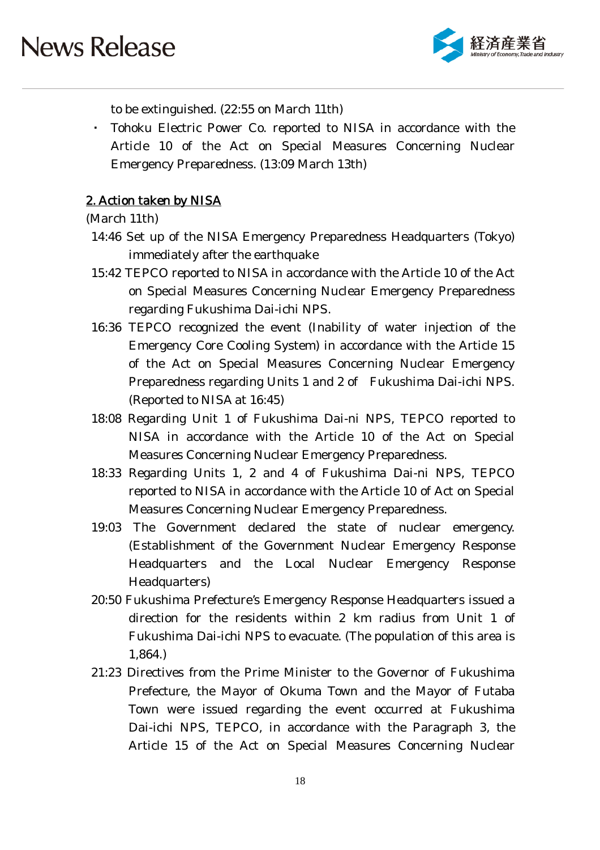

to be extinguished. (22:55 on March 11th)

Tohoku Electric Power Co. reported to NISA in accordance with the Article 10 of the Act on Special Measures Concerning Nuclear Emergency Preparedness. (13:09 March 13th)

### 2. Action taken by NISA

#### (March 11th)

- 14:46 Set up of the NISA Emergency Preparedness Headquarters (Tokyo) immediately after the earthquake
- 15:42 TEPCO reported to NISA in accordance with the Article 10 of the Act on Special Measures Concerning Nuclear Emergency Preparedness regarding Fukushima Dai-ichi NPS.
- 16:36 TEPCO recognized the event (Inability of water injection of the Emergency Core Cooling System) in accordance with the Article 15 of the Act on Special Measures Concerning Nuclear Emergency Preparedness regarding Units 1 and 2 of Fukushima Dai-ichi NPS. (Reported to NISA at 16:45)
- 18:08 Regarding Unit 1 of Fukushima Dai-ni NPS, TEPCO reported to NISA in accordance with the Article 10 of the Act on Special Measures Concerning Nuclear Emergency Preparedness.
- 18:33 Regarding Units 1, 2 and 4 of Fukushima Dai-ni NPS, TEPCO reported to NISA in accordance with the Article 10 of Act on Special Measures Concerning Nuclear Emergency Preparedness.
- 19:03 The Government declared the state of nuclear emergency. (Establishment of the Government Nuclear Emergency Response Headquarters and the Local Nuclear Emergency Response Headquarters)
- 20:50 Fukushima Prefecture's Emergency Response Headquarters issued a direction for the residents within 2 km radius from Unit 1 of Fukushima Dai-ichi NPS to evacuate. (The population of this area is 1,864.)
- 21:23 Directives from the Prime Minister to the Governor of Fukushima Prefecture, the Mayor of Okuma Town and the Mayor of Futaba Town were issued regarding the event occurred at Fukushima Dai-ichi NPS, TEPCO, in accordance with the Paragraph 3, the Article 15 of the Act on Special Measures Concerning Nuclear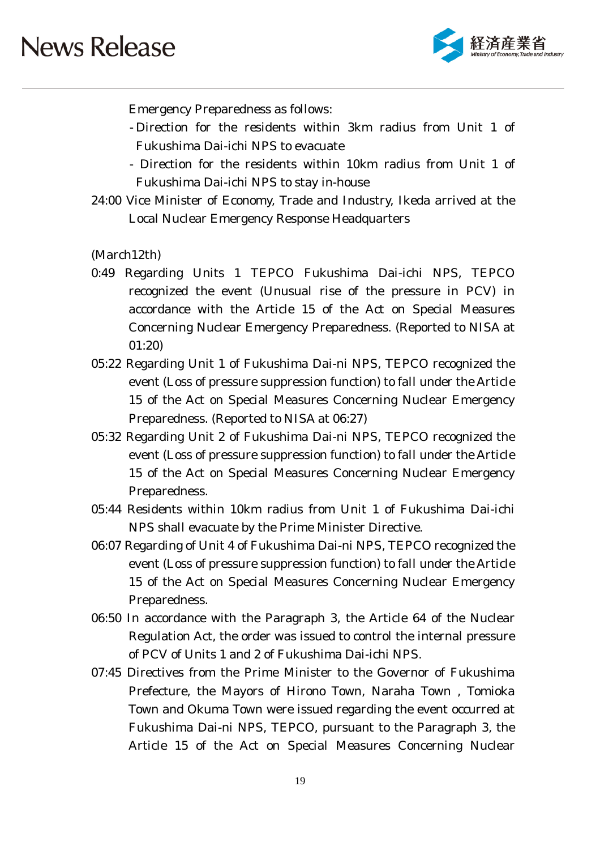

Emergency Preparedness as follows:

- Direction for the residents within 3km radius from Unit 1 of Fukushima Dai-ichi NPS to evacuate
- Direction for the residents within 10km radius from Unit 1 of Fukushima Dai-ichi NPS to stay in-house
- 24:00 Vice Minister of Economy, Trade and Industry, Ikeda arrived at the Local Nuclear Emergency Response Headquarters

(March12th)

- 0:49 Regarding Units 1 TEPCO Fukushima Dai-ichi NPS, TEPCO recognized the event (Unusual rise of the pressure in PCV) in accordance with the Article 15 of the Act on Special Measures Concerning Nuclear Emergency Preparedness. (Reported to NISA at 01:20)
- 05:22 Regarding Unit 1 of Fukushima Dai-ni NPS, TEPCO recognized the event (Loss of pressure suppression function) to fall under the Article 15 of the Act on Special Measures Concerning Nuclear Emergency Preparedness. (Reported to NISA at 06:27)
- 05:32 Regarding Unit 2 of Fukushima Dai-ni NPS, TEPCO recognized the event (Loss of pressure suppression function) to fall under the Article 15 of the Act on Special Measures Concerning Nuclear Emergency Preparedness.
- 05:44 Residents within 10km radius from Unit 1 of Fukushima Dai-ichi NPS shall evacuate by the Prime Minister Directive.
- 06:07 Regarding of Unit 4 of Fukushima Dai-ni NPS, TEPCO recognized the event (Loss of pressure suppression function) to fall under the Article 15 of the Act on Special Measures Concerning Nuclear Emergency Preparedness.
- 06:50 In accordance with the Paragraph 3, the Article 64 of the Nuclear Regulation Act, the order was issued to control the internal pressure of PCV of Units 1 and 2 of Fukushima Dai-ichi NPS.
- 07:45 Directives from the Prime Minister to the Governor of Fukushima Prefecture, the Mayors of Hirono Town, Naraha Town , Tomioka Town and Okuma Town were issued regarding the event occurred at Fukushima Dai-ni NPS, TEPCO, pursuant to the Paragraph 3, the Article 15 of the Act on Special Measures Concerning Nuclear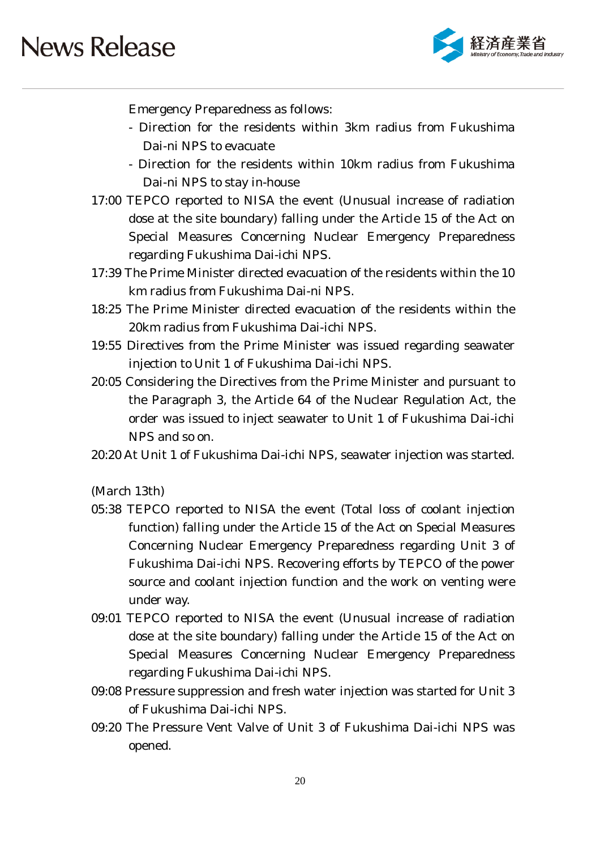

Emergency Preparedness as follows:

- Direction for the residents within 3km radius from Fukushima Dai-ni NPS to evacuate
- Direction for the residents within 10km radius from Fukushima Dai-ni NPS to stay in-house
- 17:00 TEPCO reported to NISA the event (Unusual increase of radiation dose at the site boundary) falling under the Article 15 of the Act on Special Measures Concerning Nuclear Emergency Preparedness regarding Fukushima Dai-ichi NPS.
- 17:39 The Prime Minister directed evacuation of the residents within the 10 km radius from Fukushima Dai-ni NPS.
- 18:25 The Prime Minister directed evacuation of the residents within the 20km radius from Fukushima Dai-ichi NPS.
- 19:55 Directives from the Prime Minister was issued regarding seawater injection to Unit 1 of Fukushima Dai-ichi NPS.
- 20:05 Considering the Directives from the Prime Minister and pursuant to the Paragraph 3, the Article 64 of the Nuclear Regulation Act, the order was issued to inject seawater to Unit 1 of Fukushima Dai-ichi NPS and so on.
- 20:20 At Unit 1 of Fukushima Dai-ichi NPS, seawater injection was started.

(March 13th)

- 05:38 TEPCO reported to NISA the event (Total loss of coolant injection function) falling under the Article 15 of the Act on Special Measures Concerning Nuclear Emergency Preparedness regarding Unit 3 of Fukushima Dai-ichi NPS. Recovering efforts by TEPCO of the power source and coolant injection function and the work on venting were under way.
- 09:01 TEPCO reported to NISA the event (Unusual increase of radiation dose at the site boundary) falling under the Article 15 of the Act on Special Measures Concerning Nuclear Emergency Preparedness regarding Fukushima Dai-ichi NPS.
- 09:08 Pressure suppression and fresh water injection was started for Unit 3 of Fukushima Dai-ichi NPS.
- 09:20 The Pressure Vent Valve of Unit 3 of Fukushima Dai-ichi NPS was opened.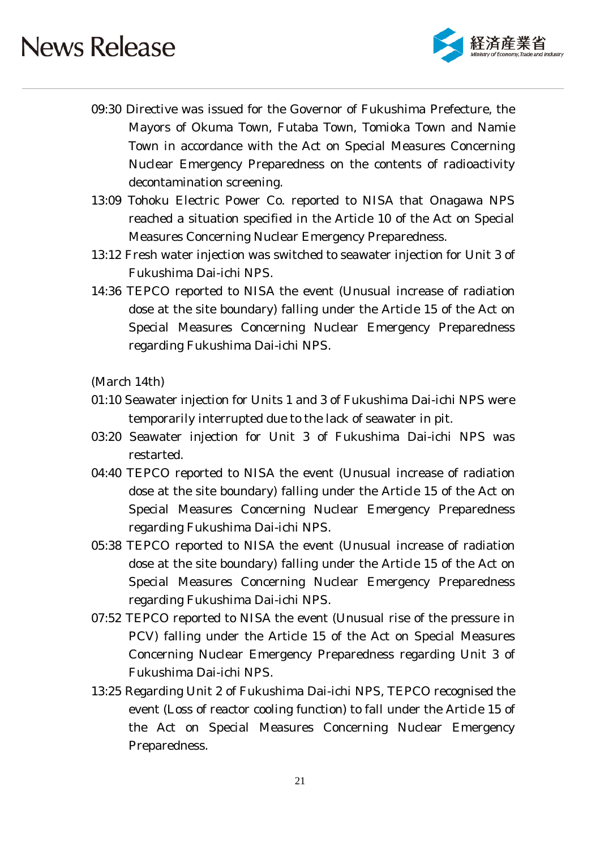

- 09:30 Directive was issued for the Governor of Fukushima Prefecture, the Mayors of Okuma Town, Futaba Town, Tomioka Town and Namie Town in accordance with the Act on Special Measures Concerning Nuclear Emergency Preparedness on the contents of radioactivity decontamination screening.
- 13:09 Tohoku Electric Power Co. reported to NISA that Onagawa NPS reached a situation specified in the Article 10 of the Act on Special Measures Concerning Nuclear Emergency Preparedness.
- 13:12 Fresh water injection was switched to seawater injection for Unit 3 of Fukushima Dai-ichi NPS.
- 14:36 TEPCO reported to NISA the event (Unusual increase of radiation dose at the site boundary) falling under the Article 15 of the Act on Special Measures Concerning Nuclear Emergency Preparedness regarding Fukushima Dai-ichi NPS.

(March 14th)

- 01:10 Seawater injection for Units 1 and 3 of Fukushima Dai-ichi NPS were temporarily interrupted due to the lack of seawater in pit.
- 03:20 Seawater injection for Unit 3 of Fukushima Dai-ichi NPS was restarted.
- 04:40 TEPCO reported to NISA the event (Unusual increase of radiation dose at the site boundary) falling under the Article 15 of the Act on Special Measures Concerning Nuclear Emergency Preparedness regarding Fukushima Dai-ichi NPS.
- 05:38 TEPCO reported to NISA the event (Unusual increase of radiation dose at the site boundary) falling under the Article 15 of the Act on Special Measures Concerning Nuclear Emergency Preparedness regarding Fukushima Dai-ichi NPS.
- 07:52 TEPCO reported to NISA the event (Unusual rise of the pressure in PCV) falling under the Article 15 of the Act on Special Measures Concerning Nuclear Emergency Preparedness regarding Unit 3 of Fukushima Dai-ichi NPS.
- 13:25 Regarding Unit 2 of Fukushima Dai-ichi NPS, TEPCO recognised the event (Loss of reactor cooling function) to fall under the Article 15 of the Act on Special Measures Concerning Nuclear Emergency Preparedness.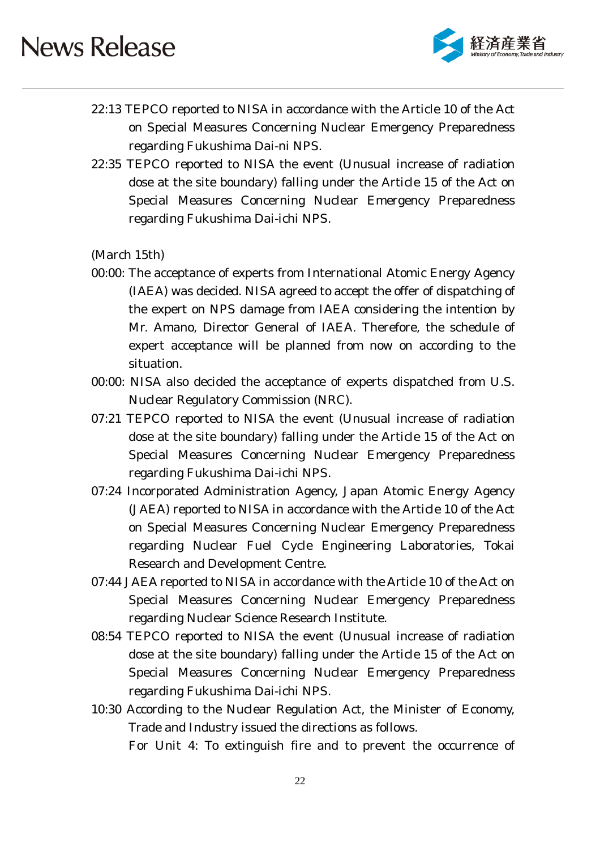

- 22:13 TEPCO reported to NISA in accordance with the Article 10 of the Act on Special Measures Concerning Nuclear Emergency Preparedness regarding Fukushima Dai-ni NPS.
- 22:35 TEPCO reported to NISA the event (Unusual increase of radiation dose at the site boundary) falling under the Article 15 of the Act on Special Measures Concerning Nuclear Emergency Preparedness regarding Fukushima Dai-ichi NPS.

(March 15th)

- 00:00: The acceptance of experts from International Atomic Energy Agency (IAEA) was decided. NISA agreed to accept the offer of dispatching of the expert on NPS damage from IAEA considering the intention by Mr. Amano, Director General of IAEA. Therefore, the schedule of expert acceptance will be planned from now on according to the situation.
- 00:00: NISA also decided the acceptance of experts dispatched from U.S. Nuclear Regulatory Commission (NRC).
- 07:21 TEPCO reported to NISA the event (Unusual increase of radiation dose at the site boundary) falling under the Article 15 of the Act on Special Measures Concerning Nuclear Emergency Preparedness regarding Fukushima Dai-ichi NPS.
- 07:24 Incorporated Administration Agency, Japan Atomic Energy Agency (JAEA) reported to NISA in accordance with the Article 10 of the Act on Special Measures Concerning Nuclear Emergency Preparedness regarding Nuclear Fuel Cycle Engineering Laboratories, Tokai Research and Development Centre.
- 07:44 JAEA reported to NISA in accordance with the Article 10 of the Act on Special Measures Concerning Nuclear Emergency Preparedness regarding Nuclear Science Research Institute.
- 08:54 TEPCO reported to NISA the event (Unusual increase of radiation dose at the site boundary) falling under the Article 15 of the Act on Special Measures Concerning Nuclear Emergency Preparedness regarding Fukushima Dai-ichi NPS.
- 10:30 According to the Nuclear Regulation Act, the Minister of Economy, Trade and Industry issued the directions as follows.

For Unit 4: To extinguish fire and to prevent the occurrence of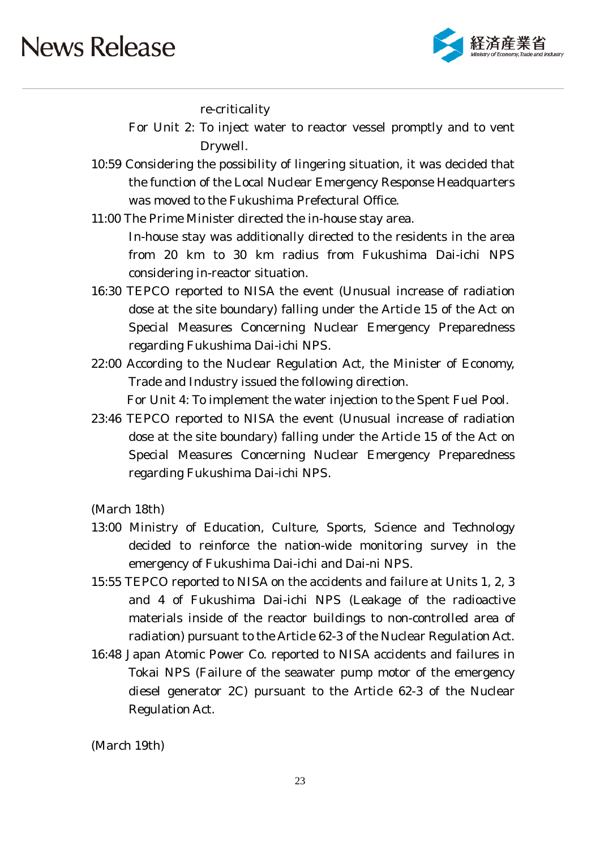

re-criticality

For Unit 2: To inject water to reactor vessel promptly and to vent Drywell.

- 10:59 Considering the possibility of lingering situation, it was decided that the function of the Local Nuclear Emergency Response Headquarters was moved to the Fukushima Prefectural Office.
- 11:00 The Prime Minister directed the in-house stay area. In-house stay was additionally directed to the residents in the area from 20 km to 30 km radius from Fukushima Dai-ichi NPS considering in-reactor situation.
- 16:30 TEPCO reported to NISA the event (Unusual increase of radiation dose at the site boundary) falling under the Article 15 of the Act on Special Measures Concerning Nuclear Emergency Preparedness regarding Fukushima Dai-ichi NPS.
- 22:00 According to the Nuclear Regulation Act, the Minister of Economy, Trade and Industry issued the following direction.

For Unit 4: To implement the water injection to the Spent Fuel Pool.

23:46 TEPCO reported to NISA the event (Unusual increase of radiation dose at the site boundary) falling under the Article 15 of the Act on Special Measures Concerning Nuclear Emergency Preparedness regarding Fukushima Dai-ichi NPS.

(March 18th)

- 13:00 Ministry of Education, Culture, Sports, Science and Technology decided to reinforce the nation-wide monitoring survey in the emergency of Fukushima Dai-ichi and Dai-ni NPS.
- 15:55 TEPCO reported to NISA on the accidents and failure at Units 1, 2, 3 and 4 of Fukushima Dai-ichi NPS (Leakage of the radioactive materials inside of the reactor buildings to non-controlled area of radiation) pursuant to the Article 62-3 of the Nuclear Regulation Act.
- 16:48 Japan Atomic Power Co. reported to NISA accidents and failures in Tokai NPS (Failure of the seawater pump motor of the emergency diesel generator 2C) pursuant to the Article 62-3 of the Nuclear Regulation Act.

(March 19th)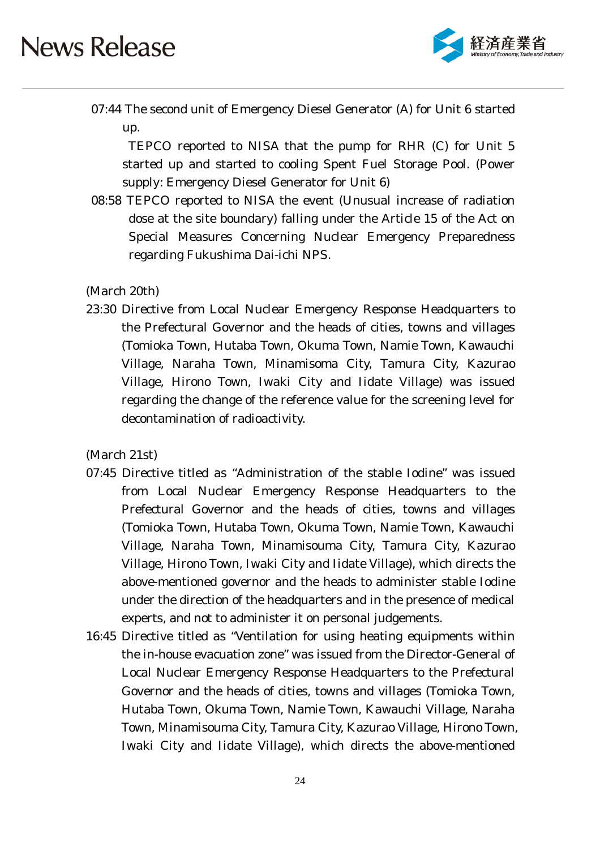

07:44 The second unit of Emergency Diesel Generator (A) for Unit 6 started up.

TEPCO reported to NISA that the pump for RHR (C) for Unit 5 started up and started to cooling Spent Fuel Storage Pool. (Power supply: Emergency Diesel Generator for Unit 6)

08:58 TEPCO reported to NISA the event (Unusual increase of radiation dose at the site boundary) falling under the Article 15 of the Act on Special Measures Concerning Nuclear Emergency Preparedness regarding Fukushima Dai-ichi NPS.

(March 20th)

23:30 Directive from Local Nuclear Emergency Response Headquarters to the Prefectural Governor and the heads of cities, towns and villages (Tomioka Town, Hutaba Town, Okuma Town, Namie Town, Kawauchi Village, Naraha Town, Minamisoma City, Tamura City, Kazurao Village, Hirono Town, Iwaki City and Iidate Village) was issued regarding the change of the reference value for the screening level for decontamination of radioactivity.

#### (March 21st)

- 07:45 Directive titled as "Administration of the stable Iodine" was issued from Local Nuclear Emergency Response Headquarters to the Prefectural Governor and the heads of cities, towns and villages (Tomioka Town, Hutaba Town, Okuma Town, Namie Town, Kawauchi Village, Naraha Town, Minamisouma City, Tamura City, Kazurao Village, Hirono Town, Iwaki City and Iidate Village), which directs the above-mentioned governor and the heads to administer stable Iodine under the direction of the headquarters and in the presence of medical experts, and not to administer it on personal judgements.
- 16:45 Directive titled as "Ventilation for using heating equipments within the in-house evacuation zone" was issued from the Director-General of Local Nuclear Emergency Response Headquarters to the Prefectural Governor and the heads of cities, towns and villages (Tomioka Town, Hutaba Town, Okuma Town, Namie Town, Kawauchi Village, Naraha Town, Minamisouma City, Tamura City, Kazurao Village, Hirono Town, Iwaki City and Iidate Village), which directs the above-mentioned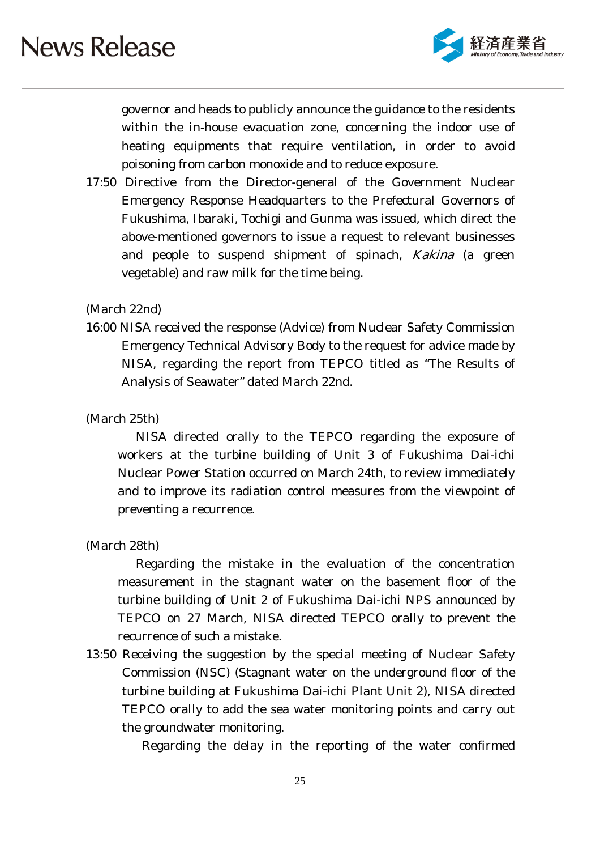

governor and heads to publicly announce the guidance to the residents within the in-house evacuation zone, concerning the indoor use of heating equipments that require ventilation, in order to avoid poisoning from carbon monoxide and to reduce exposure.

17:50 Directive from the Director-general of the Government Nuclear Emergency Response Headquarters to the Prefectural Governors of Fukushima, Ibaraki, Tochigi and Gunma was issued, which direct the above-mentioned governors to issue a request to relevant businesses and people to suspend shipment of spinach, Kakina (a green vegetable) and raw milk for the time being.

#### (March 22nd)

16:00 NISA received the response (Advice) from Nuclear Safety Commission Emergency Technical Advisory Body to the request for advice made by NISA, regarding the report from TEPCO titled as "The Results of Analysis of Seawater" dated March 22nd.

#### (March 25th)

NISA directed orally to the TEPCO regarding the exposure of workers at the turbine building of Unit 3 of Fukushima Dai-ichi Nuclear Power Station occurred on March 24th, to review immediately and to improve its radiation control measures from the viewpoint of preventing a recurrence.

(March 28th)

Regarding the mistake in the evaluation of the concentration measurement in the stagnant water on the basement floor of the turbine building of Unit 2 of Fukushima Dai-ichi NPS announced by TEPCO on 27 March, NISA directed TEPCO orally to prevent the recurrence of such a mistake.

13:50 Receiving the suggestion by the special meeting of Nuclear Safety Commission (NSC) (Stagnant water on the underground floor of the turbine building at Fukushima Dai-ichi Plant Unit 2), NISA directed TEPCO orally to add the sea water monitoring points and carry out the groundwater monitoring.

Regarding the delay in the reporting of the water confirmed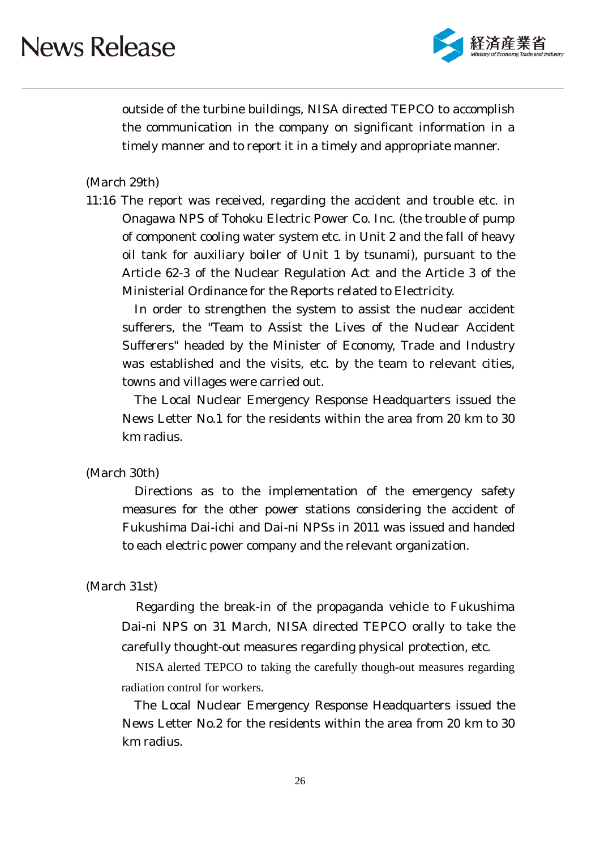

outside of the turbine buildings, NISA directed TEPCO to accomplish the communication in the company on significant information in a timely manner and to report it in a timely and appropriate manner.

#### (March 29th)

11:16 The report was received, regarding the accident and trouble etc. in Onagawa NPS of Tohoku Electric Power Co. Inc. (the trouble of pump of component cooling water system etc. in Unit 2 and the fall of heavy oil tank for auxiliary boiler of Unit 1 by tsunami), pursuant to the Article 62-3 of the Nuclear Regulation Act and the Article 3 of the Ministerial Ordinance for the Reports related to Electricity.

In order to strengthen the system to assist the nuclear accident sufferers, the "Team to Assist the Lives of the Nuclear Accident Sufferers" headed by the Minister of Economy, Trade and Industry was established and the visits, etc. by the team to relevant cities, towns and villages were carried out.

The Local Nuclear Emergency Response Headquarters issued the News Letter No.1 for the residents within the area from 20 km to 30 km radius.

#### (March 30th)

Directions as to the implementation of the emergency safety measures for the other power stations considering the accident of Fukushima Dai-ichi and Dai-ni NPSs in 2011 was issued and handed to each electric power company and the relevant organization.

#### (March 31st)

Regarding the break-in of the propaganda vehicle to Fukushima Dai-ni NPS on 31 March, NISA directed TEPCO orally to take the carefully thought-out measures regarding physical protection, etc.

NISA alerted TEPCO to taking the carefully though-out measures regarding radiation control for workers.

The Local Nuclear Emergency Response Headquarters issued the News Letter No.2 for the residents within the area from 20 km to 30 km radius.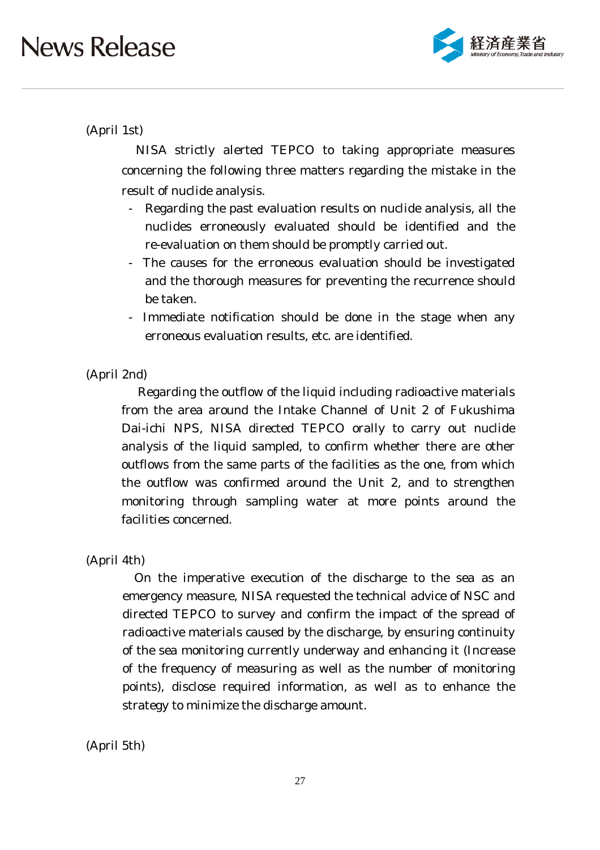

### (April 1st)

NISA strictly alerted TEPCO to taking appropriate measures concerning the following three matters regarding the mistake in the result of nuclide analysis.

- Regarding the past evaluation results on nuclide analysis, all the nuclides erroneously evaluated should be identified and the re-evaluation on them should be promptly carried out.
- The causes for the erroneous evaluation should be investigated and the thorough measures for preventing the recurrence should be taken.
- Immediate notification should be done in the stage when any erroneous evaluation results, etc. are identified.

#### (April 2nd)

Regarding the outflow of the liquid including radioactive materials from the area around the Intake Channel of Unit 2 of Fukushima Dai-ichi NPS, NISA directed TEPCO orally to carry out nuclide analysis of the liquid sampled, to confirm whether there are other outflows from the same parts of the facilities as the one, from which the outflow was confirmed around the Unit 2, and to strengthen monitoring through sampling water at more points around the facilities concerned.

#### (April 4th)

On the imperative execution of the discharge to the sea as an emergency measure, NISA requested the technical advice of NSC and directed TEPCO to survey and confirm the impact of the spread of radioactive materials caused by the discharge, by ensuring continuity of the sea monitoring currently underway and enhancing it (Increase of the frequency of measuring as well as the number of monitoring points), disclose required information, as well as to enhance the strategy to minimize the discharge amount.

(April 5th)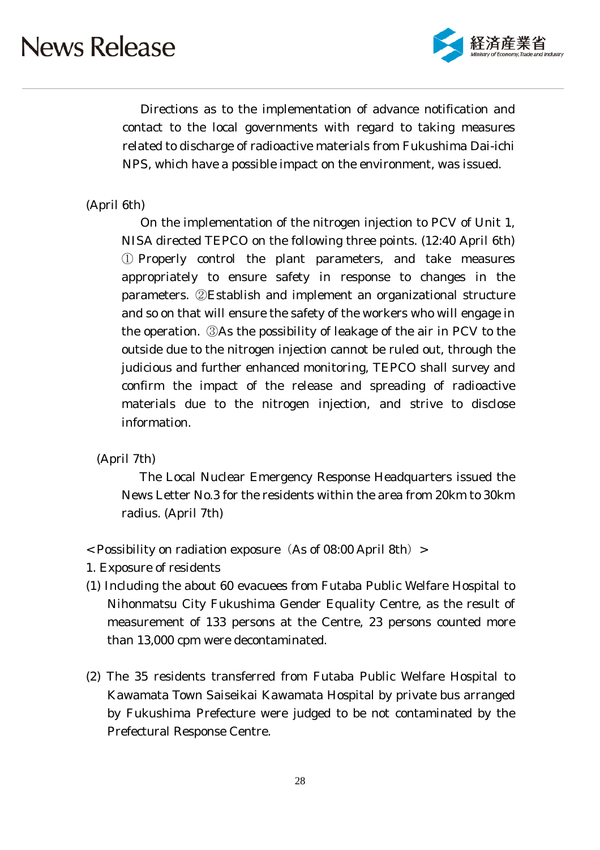

Directions as to the implementation of advance notification and contact to the local governments with regard to taking measures related to discharge of radioactive materials from Fukushima Dai-ichi NPS, which have a possible impact on the environment, was issued.

### (April 6th)

On the implementation of the nitrogen injection to PCV of Unit 1, NISA directed TEPCO on the following three points. (12:40 April 6th) ① Properly control the plant parameters, and take measures appropriately to ensure safety in response to changes in the parameters. ②Establish and implement an organizational structure and so on that will ensure the safety of the workers who will engage in the operation. ③As the possibility of leakage of the air in PCV to the outside due to the nitrogen injection cannot be ruled out, through the judicious and further enhanced monitoring, TEPCO shall survey and confirm the impact of the release and spreading of radioactive materials due to the nitrogen injection, and strive to disclose information.

(April 7th)

The Local Nuclear Emergency Response Headquarters issued the News Letter No.3 for the residents within the area from 20km to 30km radius. (April 7th)

- $<$  Possibility on radiation exposure (As of 08:00 April 8th) >
- 1. Exposure of residents
- (1) Including the about 60 evacuees from Futaba Public Welfare Hospital to Nihonmatsu City Fukushima Gender Equality Centre, as the result of measurement of 133 persons at the Centre, 23 persons counted more than 13,000 cpm were decontaminated.
- (2) The 35 residents transferred from Futaba Public Welfare Hospital to Kawamata Town Saiseikai Kawamata Hospital by private bus arranged by Fukushima Prefecture were judged to be not contaminated by the Prefectural Response Centre.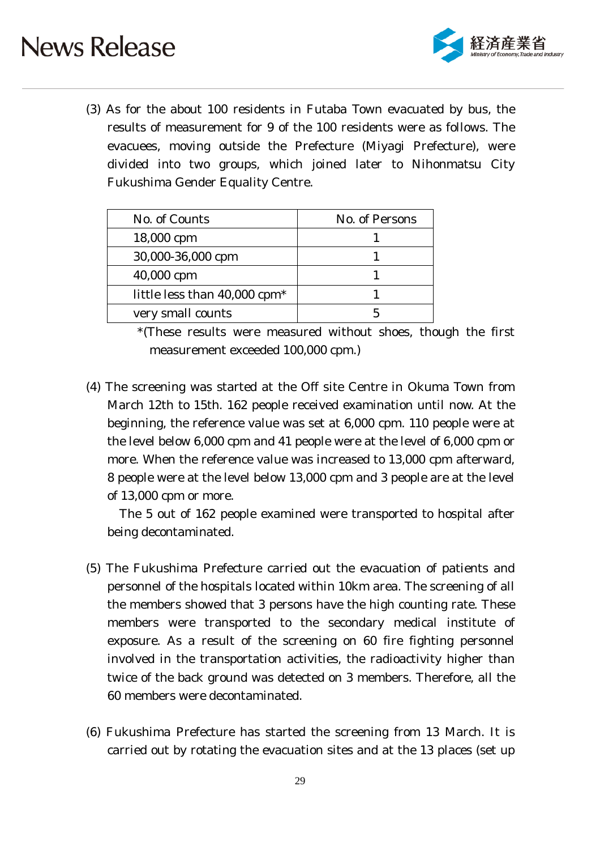

(3) As for the about 100 residents in Futaba Town evacuated by bus, the results of measurement for 9 of the 100 residents were as follows. The evacuees, moving outside the Prefecture (Miyagi Prefecture), were divided into two groups, which joined later to Nihonmatsu City Fukushima Gender Equality Centre.

| No. of Counts                              | No. of Persons |
|--------------------------------------------|----------------|
| 18,000 cpm                                 |                |
| 30,000-36,000 cpm                          |                |
| 40,000 cpm                                 |                |
| little less than $40,000$ cpm <sup>*</sup> |                |
| very small counts                          |                |

\*(These results were measured without shoes, though the first measurement exceeded 100,000 cpm.)

(4) The screening was started at the Off site Centre in Okuma Town from March 12th to 15th. 162 people received examination until now. At the beginning, the reference value was set at 6,000 cpm. 110 people were at the level below 6,000 cpm and 41 people were at the level of 6,000 cpm or more. When the reference value was increased to 13,000 cpm afterward, 8 people were at the level below 13,000 cpm and 3 people are at the level of 13,000 cpm or more.

The 5 out of 162 people examined were transported to hospital after being decontaminated.

- (5) The Fukushima Prefecture carried out the evacuation of patients and personnel of the hospitals located within 10km area. The screening of all the members showed that 3 persons have the high counting rate. These members were transported to the secondary medical institute of exposure. As a result of the screening on 60 fire fighting personnel involved in the transportation activities, the radioactivity higher than twice of the back ground was detected on 3 members. Therefore, all the 60 members were decontaminated.
- (6) Fukushima Prefecture has started the screening from 13 March. It is carried out by rotating the evacuation sites and at the 13 places (set up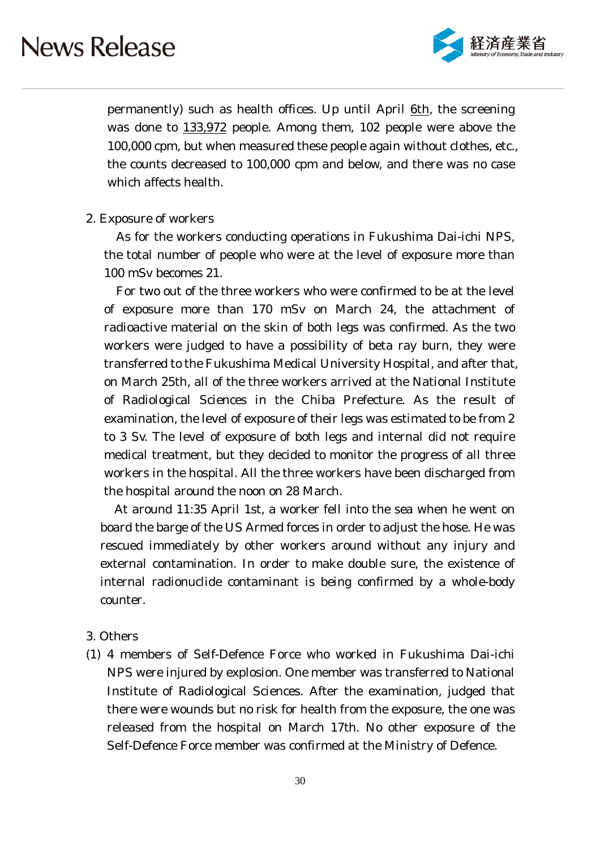

permanently) such as health offices. Up until April 6th, the screening was done to 133,972 people. Among them, 102 people were above the 100,000 cpm, but when measured these people again without clothes, etc., the counts decreased to 100,000 cpm and below, and there was no case which affects health.

#### 2. Exposure of workers

As for the workers conducting operations in Fukushima Dai-ichi NPS, the total number of people who were at the level of exposure more than 100 mSv becomes 21.

For two out of the three workers who were confirmed to be at the level of exposure more than 170 mSv on March 24, the attachment of radioactive material on the skin of both legs was confirmed. As the two workers were judged to have a possibility of beta ray burn, they were transferred to the Fukushima Medical University Hospital, and after that, on March 25th, all of the three workers arrived at the National Institute of Radiological Sciences in the Chiba Prefecture. As the result of examination, the level of exposure of their legs was estimated to be from 2 to 3 Sv. The level of exposure of both legs and internal did not require medical treatment, but they decided to monitor the progress of all three workers in the hospital. All the three workers have been discharged from the hospital around the noon on 28 March.

At around 11:35 April 1st, a worker fell into the sea when he went on board the barge of the US Armed forces in order to adjust the hose. He was rescued immediately by other workers around without any injury and external contamination. In order to make double sure, the existence of internal radionuclide contaminant is being confirmed by a whole-body counter.

#### 3. Others

(1) 4 members of Self-Defence Force who worked in Fukushima Dai-ichi NPS were injured by explosion. One member was transferred to National Institute of Radiological Sciences. After the examination, judged that there were wounds but no risk for health from the exposure, the one was released from the hospital on March 17th. No other exposure of the Self-Defence Force member was confirmed at the Ministry of Defence.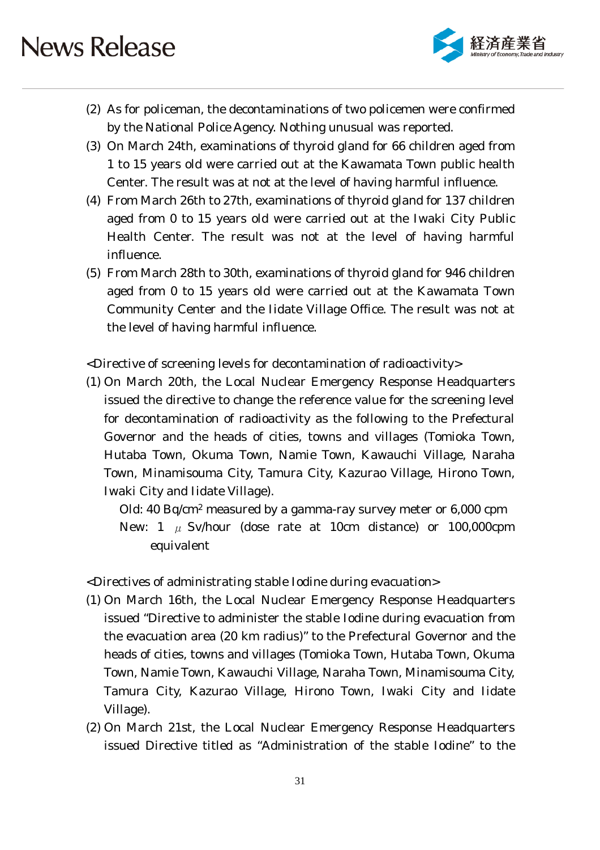

- (2) As for policeman, the decontaminations of two policemen were confirmed by the National Police Agency. Nothing unusual was reported.
- (3) On March 24th, examinations of thyroid gland for 66 children aged from 1 to 15 years old were carried out at the Kawamata Town public health Center. The result was at not at the level of having harmful influence.
- (4) From March 26th to 27th, examinations of thyroid gland for 137 children aged from 0 to 15 years old were carried out at the Iwaki City Public Health Center. The result was not at the level of having harmful influence.
- (5) From March 28th to 30th, examinations of thyroid gland for 946 children aged from 0 to 15 years old were carried out at the Kawamata Town Community Center and the Iidate Village Office. The result was not at the level of having harmful influence.

<Directive of screening levels for decontamination of radioactivity>

(1) On March 20th, the Local Nuclear Emergency Response Headquarters issued the directive to change the reference value for the screening level for decontamination of radioactivity as the following to the Prefectural Governor and the heads of cities, towns and villages (Tomioka Town, Hutaba Town, Okuma Town, Namie Town, Kawauchi Village, Naraha Town, Minamisouma City, Tamura City, Kazurao Village, Hirono Town, Iwaki City and Iidate Village).

Old: 40 Bq/cm2 measured by a gamma-ray survey meter or 6,000 cpm New:  $1 \mu$  Sv/hour (dose rate at 10cm distance) or 100,000cpm equivalent

<Directives of administrating stable Iodine during evacuation>

- (1) On March 16th, the Local Nuclear Emergency Response Headquarters issued "Directive to administer the stable Iodine during evacuation from the evacuation area (20 km radius)" to the Prefectural Governor and the heads of cities, towns and villages (Tomioka Town, Hutaba Town, Okuma Town, Namie Town, Kawauchi Village, Naraha Town, Minamisouma City, Tamura City, Kazurao Village, Hirono Town, Iwaki City and Iidate Village).
- (2) On March 21st, the Local Nuclear Emergency Response Headquarters issued Directive titled as "Administration of the stable Iodine" to the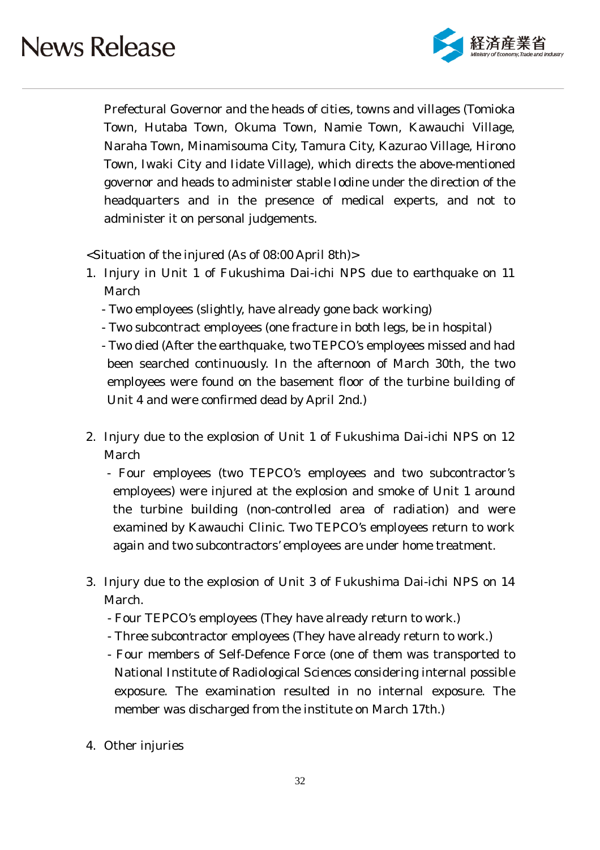

Prefectural Governor and the heads of cities, towns and villages (Tomioka Town, Hutaba Town, Okuma Town, Namie Town, Kawauchi Village, Naraha Town, Minamisouma City, Tamura City, Kazurao Village, Hirono Town, Iwaki City and Iidate Village), which directs the above-mentioned governor and heads to administer stable Iodine under the direction of the headquarters and in the presence of medical experts, and not to administer it on personal judgements.

<Situation of the injured (As of 08:00 April 8th)>

- 1. Injury in Unit 1 of Fukushima Dai-ichi NPS due to earthquake on 11 March
	- Two employees (slightly, have already gone back working)
	- Two subcontract employees (one fracture in both legs, be in hospital)
	- Two died (After the earthquake, two TEPCO's employees missed and had been searched continuously. In the afternoon of March 30th, the two employees were found on the basement floor of the turbine building of Unit 4 and were confirmed dead by April 2nd.)
- 2. Injury due to the explosion of Unit 1 of Fukushima Dai-ichi NPS on 12 March
	- Four employees (two TEPCO's employees and two subcontractor's employees) were injured at the explosion and smoke of Unit 1 around the turbine building (non-controlled area of radiation) and were examined by Kawauchi Clinic. Two TEPCO's employees return to work again and two subcontractors' employees are under home treatment.
- 3. Injury due to the explosion of Unit 3 of Fukushima Dai-ichi NPS on 14 March.
	- Four TEPCO's employees (They have already return to work.)
	- Three subcontractor employees (They have already return to work.)
	- Four members of Self-Defence Force (one of them was transported to National Institute of Radiological Sciences considering internal possible exposure. The examination resulted in no internal exposure. The member was discharged from the institute on March 17th.)
- 4. Other injuries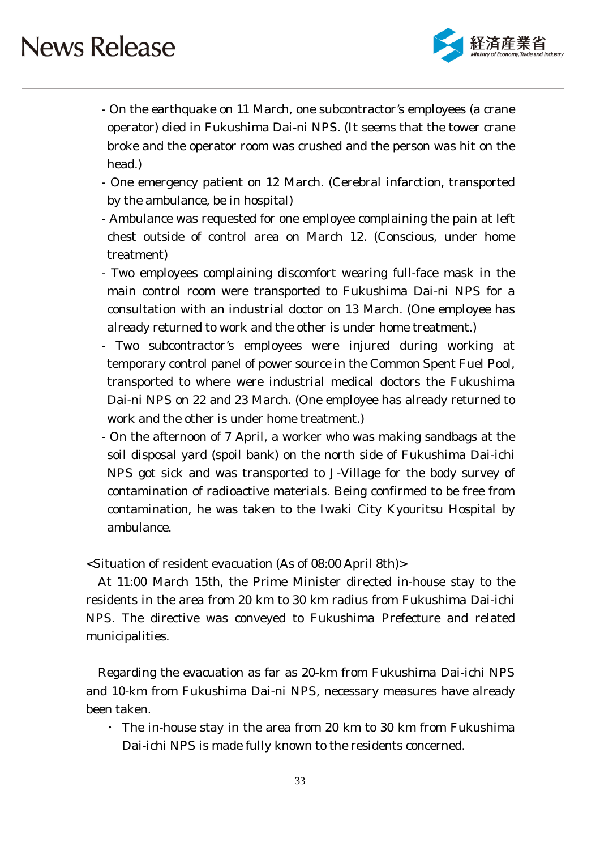

- On the earthquake on 11 March, one subcontractor's employees (a crane operator) died in Fukushima Dai-ni NPS. (It seems that the tower crane broke and the operator room was crushed and the person was hit on the head.)
- One emergency patient on 12 March. (Cerebral infarction, transported by the ambulance, be in hospital)
- Ambulance was requested for one employee complaining the pain at left chest outside of control area on March 12. (Conscious, under home treatment)
- Two employees complaining discomfort wearing full-face mask in the main control room were transported to Fukushima Dai-ni NPS for a consultation with an industrial doctor on 13 March. (One employee has already returned to work and the other is under home treatment.)
- Two subcontractor's employees were injured during working at temporary control panel of power source in the Common Spent Fuel Pool, transported to where were industrial medical doctors the Fukushima Dai-ni NPS on 22 and 23 March. (One employee has already returned to work and the other is under home treatment.)
- On the afternoon of 7 April, a worker who was making sandbags at the soil disposal yard (spoil bank) on the north side of Fukushima Dai-ichi NPS got sick and was transported to J-Village for the body survey of contamination of radioactive materials. Being confirmed to be free from contamination, he was taken to the Iwaki City Kyouritsu Hospital by ambulance.

<Situation of resident evacuation (As of 08:00 April 8th)>

At 11:00 March 15th, the Prime Minister directed in-house stay to the residents in the area from 20 km to 30 km radius from Fukushima Dai-ichi NPS. The directive was conveyed to Fukushima Prefecture and related municipalities.

Regarding the evacuation as far as 20-km from Fukushima Dai-ichi NPS and 10-km from Fukushima Dai-ni NPS, necessary measures have already been taken.

・ The in-house stay in the area from 20 km to 30 km from Fukushima Dai-ichi NPS is made fully known to the residents concerned.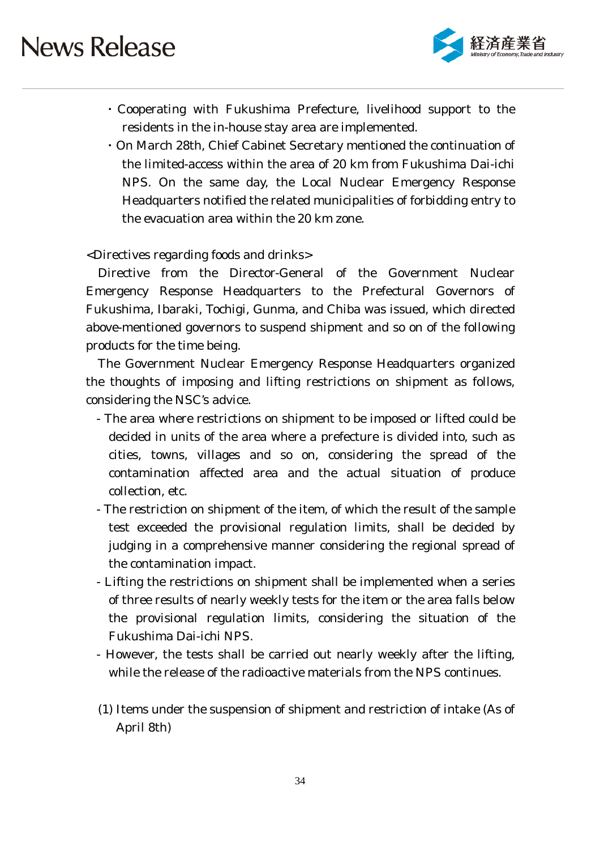

- ・Cooperating with Fukushima Prefecture, livelihood support to the residents in the in-house stay area are implemented.
- ・On March 28th, Chief Cabinet Secretary mentioned the continuation of the limited-access within the area of 20 km from Fukushima Dai-ichi NPS. On the same day, the Local Nuclear Emergency Response Headquarters notified the related municipalities of forbidding entry to the evacuation area within the 20 km zone.

<Directives regarding foods and drinks>

Directive from the Director-General of the Government Nuclear Emergency Response Headquarters to the Prefectural Governors of Fukushima, Ibaraki, Tochigi, Gunma, and Chiba was issued, which directed above-mentioned governors to suspend shipment and so on of the following products for the time being.

The Government Nuclear Emergency Response Headquarters organized the thoughts of imposing and lifting restrictions on shipment as follows, considering the NSC's advice.

- The area where restrictions on shipment to be imposed or lifted could be decided in units of the area where a prefecture is divided into, such as cities, towns, villages and so on, considering the spread of the contamination affected area and the actual situation of produce collection, etc.
- The restriction on shipment of the item, of which the result of the sample test exceeded the provisional regulation limits, shall be decided by judging in a comprehensive manner considering the regional spread of the contamination impact.
- Lifting the restrictions on shipment shall be implemented when a series of three results of nearly weekly tests for the item or the area falls below the provisional regulation limits, considering the situation of the Fukushima Dai-ichi NPS.
- However, the tests shall be carried out nearly weekly after the lifting, while the release of the radioactive materials from the NPS continues.
- (1) Items under the suspension of shipment and restriction of intake (As of April 8th)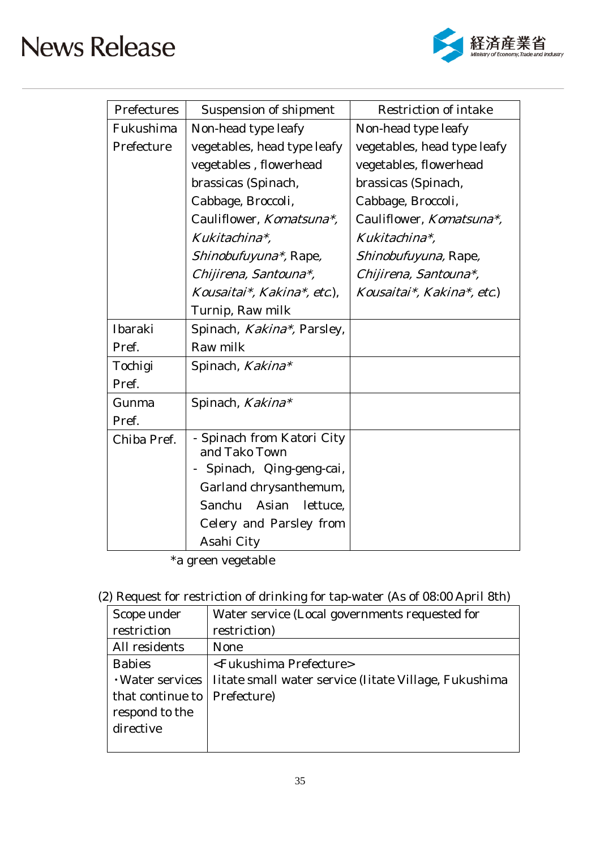

| Prefectures | <b>Suspension of shipment</b>               | <b>Restriction of intake</b> |
|-------------|---------------------------------------------|------------------------------|
| Fukushima   | Non-head type leafy                         | Non-head type leafy          |
| Prefecture  | vegetables, head type leafy                 | vegetables, head type leafy  |
|             | vegetables, flowerhead                      | vegetables, flowerhead       |
|             | brassicas (Spinach,                         | brassicas (Spinach,          |
|             | Cabbage, Broccoli,                          | Cabbage, Broccoli,           |
|             | Cauliflower, Komatsuna*,                    | Cauliflower, Komatsuna*,     |
|             | Kukitachina*.                               | Kukitachina*.                |
|             | Shinobufuyuna*, Rape,                       | Shinobufuyuna, Rape,         |
|             | Chijirena, Santouna*,                       | Chijirena, Santouna*,        |
|             | Kousaitai*, Kakina*, etc.),                 | Kousaitai*, Kakina*, etc.)   |
|             | Turnip, Raw milk                            |                              |
| Ibaraki     | Spinach, Kakina*, Parsley,                  |                              |
| Pref.       | Raw milk                                    |                              |
| Tochigi     | Spinach, Kakina*                            |                              |
| Pref.       |                                             |                              |
| Gunma       | Spinach, Kakina*                            |                              |
| Pref.       |                                             |                              |
| Chiba Pref. | - Spinach from Katori City<br>and Tako Town |                              |
|             | Spinach, Qing-geng-cai,                     |                              |
|             | Garland chrysanthemum,                      |                              |
|             | Sanchu Asian lettuce,                       |                              |
|             | Celery and Parsley from                     |                              |
|             | Asahi City                                  |                              |

\*a green vegetable

(2) Request for restriction of drinking for tap-water (As of 08:00 April 8th)

| Scope under      | Water service (Local governments requested for        |
|------------------|-------------------------------------------------------|
| restriction      | restriction)                                          |
| All residents    | None                                                  |
| <b>Babies</b>    | <fukushima prefecture=""></fukushima>                 |
| · Water services | Iitate small water service (Iitate Village, Fukushima |
| that continue to | Prefecture)                                           |
| respond to the   |                                                       |
| directive        |                                                       |
|                  |                                                       |